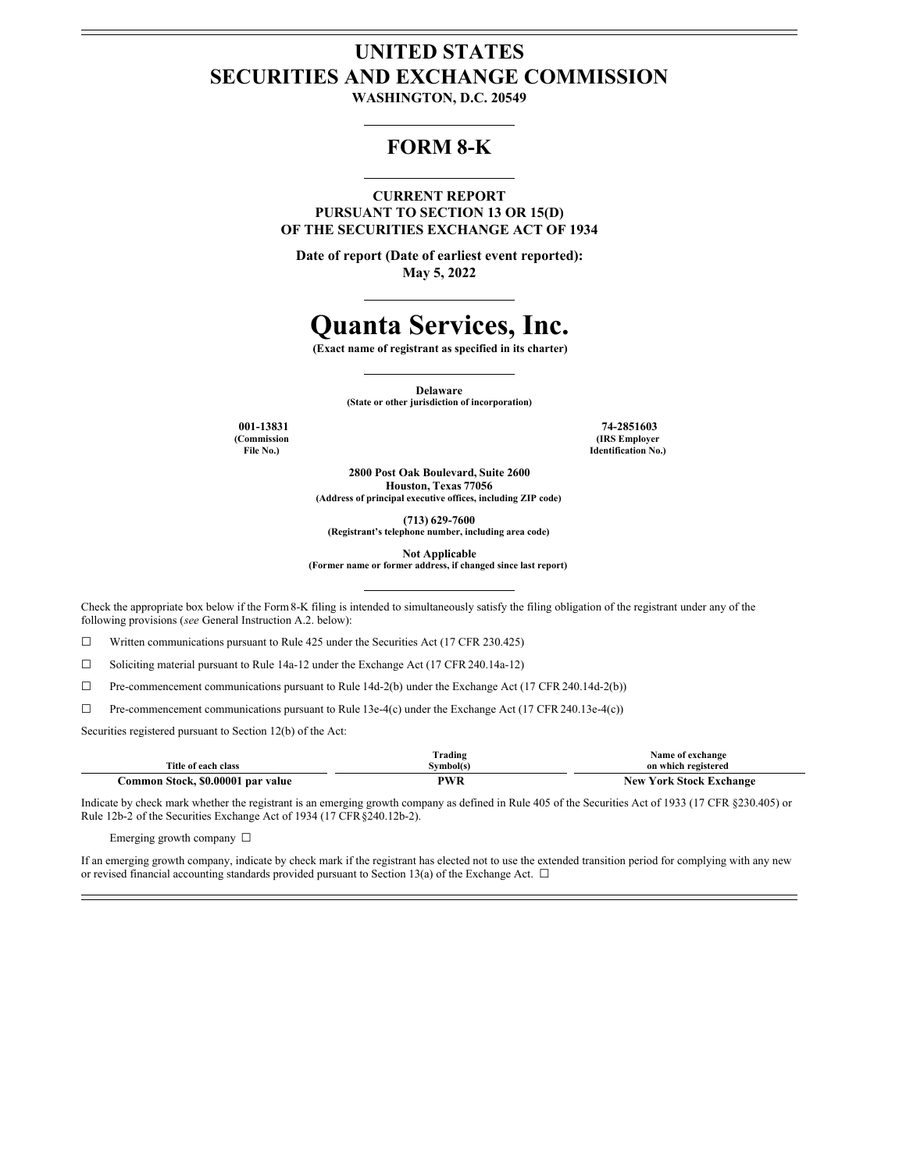# **UNITED STATES SECURITIES AND EXCHANGE COMMISSION**

**WASHINGTON, D.C. 20549**

## **FORM 8-K**

**CURRENT REPORT**

**PURSUANT TO SECTION 13 OR 15(D) OF THE SECURITIES EXCHANGE ACT OF 1934**

**Date of report (Date of earliest event reported): May 5, 2022**

# **Quanta Services, Inc.**

**(Exact name of registrant as specified in its charter)**

**Delaware (State or other jurisdiction of incorporation)**

**(Commission File No.)**

**001-13831 74-2851603 (IRS Employer Identification No.)**

> **2800 Post Oak Boulevard, Suite 2600 Houston, Texas 77056 (Address of principal executive offices, including ZIP code)**

> > **(713) 629-7600**

**(Registrant's telephone number, including area code)**

**Not Applicable**

**(Former name or former address, if changed since last report)**

Check the appropriate box below if the Form8-K filing is intended to simultaneously satisfy the filing obligation of the registrant under any of the following provisions (*see* General Instruction A.2. below):

☐ Written communications pursuant to Rule 425 under the Securities Act (17 CFR 230.425)

☐ Soliciting material pursuant to Rule 14a-12 under the Exchange Act (17 CFR 240.14a-12)

 $\Box$  Pre-commencement communications pursuant to Rule 14d-2(b) under the Exchange Act (17 CFR 240.14d-2(b))

 $\Box$  Pre-commencement communications pursuant to Rule 13e-4(c) under the Exchange Act (17 CFR 240.13e-4(c))

Securities registered pursuant to Section 12(b) of the Act:

|                                   | Trading                                | Name of exchange               |
|-----------------------------------|----------------------------------------|--------------------------------|
| Title of each class               | $^{\circ}$ vmbol(s)                    | on which registered            |
| Common Stock, \$0.00001 par value | PWR<br>the contract of the contract of | <b>New York Stock Exchange</b> |

Indicate by check mark whether the registrant is an emerging growth company as defined in Rule 405 of the Securities Act of 1933 (17 CFR §230.405) or Rule 12b-2 of the Securities Exchange Act of 1934 (17 CFR§240.12b-2).

Emerging growth company ☐

If an emerging growth company, indicate by check mark if the registrant has elected not to use the extended transition period for complying with any new or revised financial accounting standards provided pursuant to Section 13(a) of the Exchange Act.  $\Box$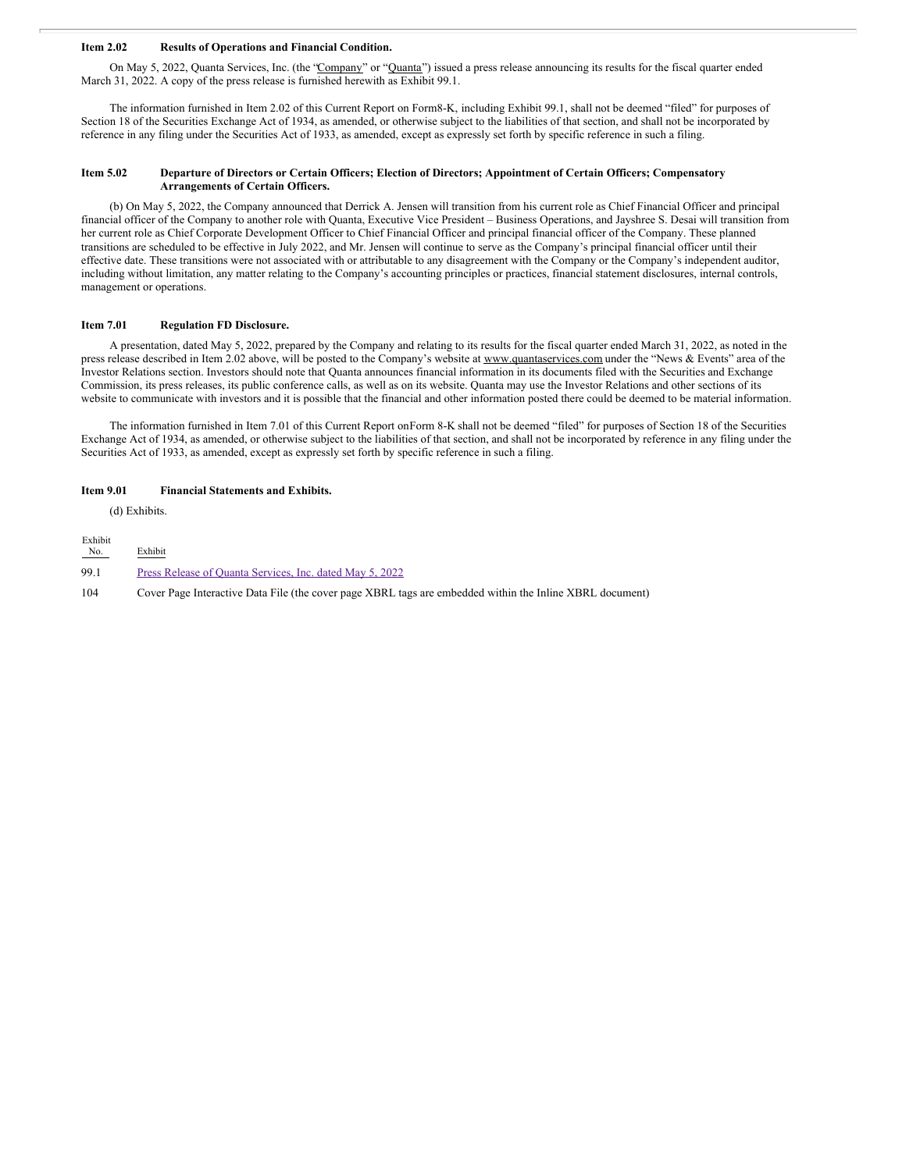## **Item 2.02 Results of Operations and Financial Condition.**

On May 5, 2022, Quanta Services, Inc. (the "Company" or "Quanta") issued a press release announcing its results for the fiscal quarter ended March 31, 2022. A copy of the press release is furnished herewith as Exhibit 99.1.

The information furnished in Item 2.02 of this Current Report on Form8-K, including Exhibit 99.1, shall not be deemed "filed" for purposes of Section 18 of the Securities Exchange Act of 1934, as amended, or otherwise subject to the liabilities of that section, and shall not be incorporated by reference in any filing under the Securities Act of 1933, as amended, except as expressly set forth by specific reference in such a filing.

## Item 5.02 Departure of Directors or Certain Officers; Election of Directors; Appointment of Certain Officers; Compensatory **Arrangements of Certain Officers.**

(b) On May 5, 2022, the Company announced that Derrick A. Jensen will transition from his current role as Chief Financial Officer and principal financial officer of the Company to another role with Quanta, Executive Vice President – Business Operations, and Jayshree S. Desai will transition from her current role as Chief Corporate Development Officer to Chief Financial Officer and principal financial officer of the Company. These planned transitions are scheduled to be effective in July 2022, and Mr. Jensen will continue to serve as the Company's principal financial officer until their effective date. These transitions were not associated with or attributable to any disagreement with the Company or the Company's independent auditor, including without limitation, any matter relating to the Company's accounting principles or practices, financial statement disclosures, internal controls, management or operations.

## **Item 7.01 Regulation FD Disclosure.**

A presentation, dated May 5, 2022, prepared by the Company and relating to its results for the fiscal quarter ended March 31, 2022, as noted in the press release described in Item 2.02 above, will be posted to the Company's website at www.quantaservices.com under the "News & Events" area of the Investor Relations section. Investors should note that Quanta announces financial information in its documents filed with the Securities and Exchange Commission, its press releases, its public conference calls, as well as on its website. Quanta may use the Investor Relations and other sections of its website to communicate with investors and it is possible that the financial and other information posted there could be deemed to be material information.

The information furnished in Item 7.01 of this Current Report onForm 8-K shall not be deemed "filed" for purposes of Section 18 of the Securities Exchange Act of 1934, as amended, or otherwise subject to the liabilities of that section, and shall not be incorporated by reference in any filing under the Securities Act of 1933, as amended, except as expressly set forth by specific reference in such a filing.

#### **Item 9.01 Financial Statements and Exhibits.**

(d) Exhibits.

| Exhibit |                                                                                                          |
|---------|----------------------------------------------------------------------------------------------------------|
| No.     | Exhibit                                                                                                  |
| 99.1    | Press Release of Quanta Services, Inc. dated May 5, 2022                                                 |
| 104     | Cover Page Interactive Data File (the cover page XBRL tags are embedded within the Inline XBRL document) |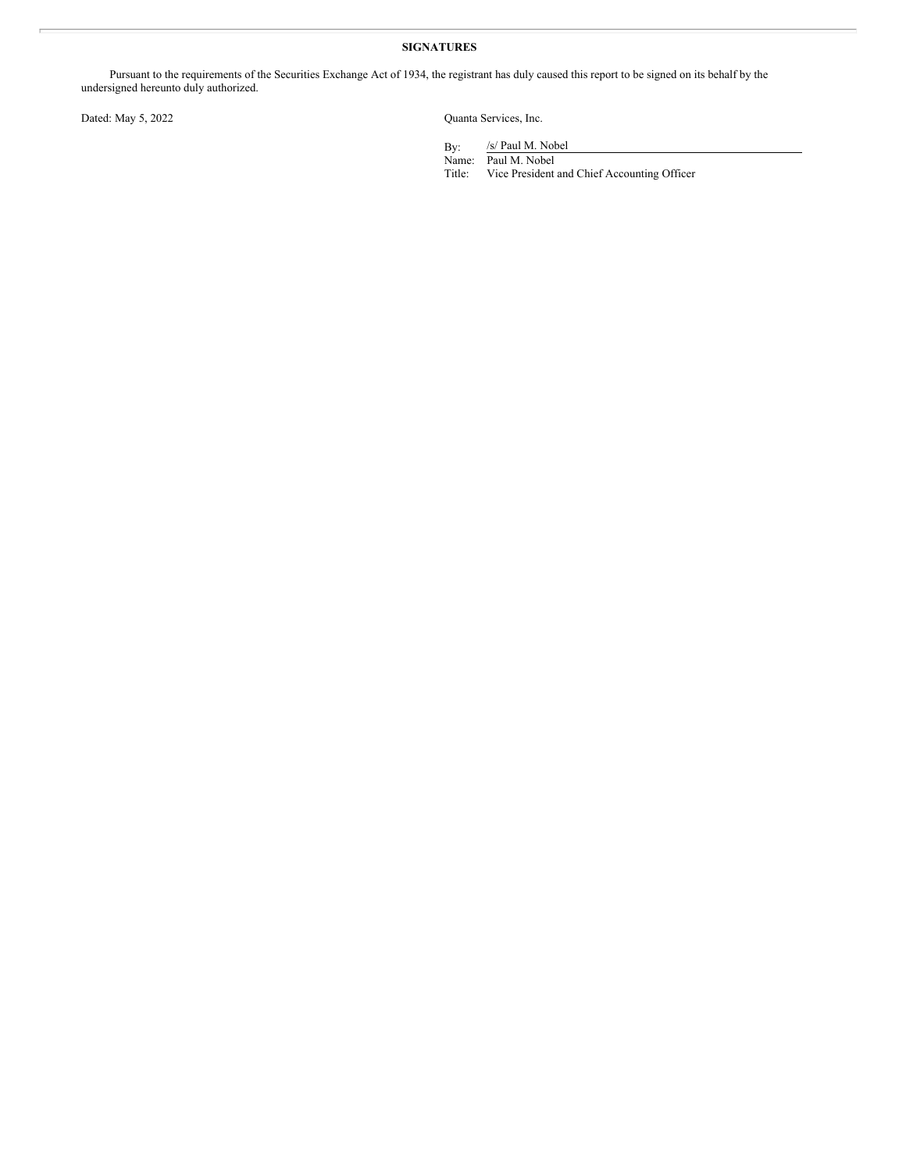## **SIGNATURES**

Pursuant to the requirements of the Securities Exchange Act of 1934, the registrant has duly caused this report to be signed on its behalf by the undersigned hereunto duly authorized.

Dated: May 5, 2022 Quanta Services, Inc.

By: /s/ Paul M. Nobel

Name: Paul M. Nobel Title: Vice President and Chief Accounting Officer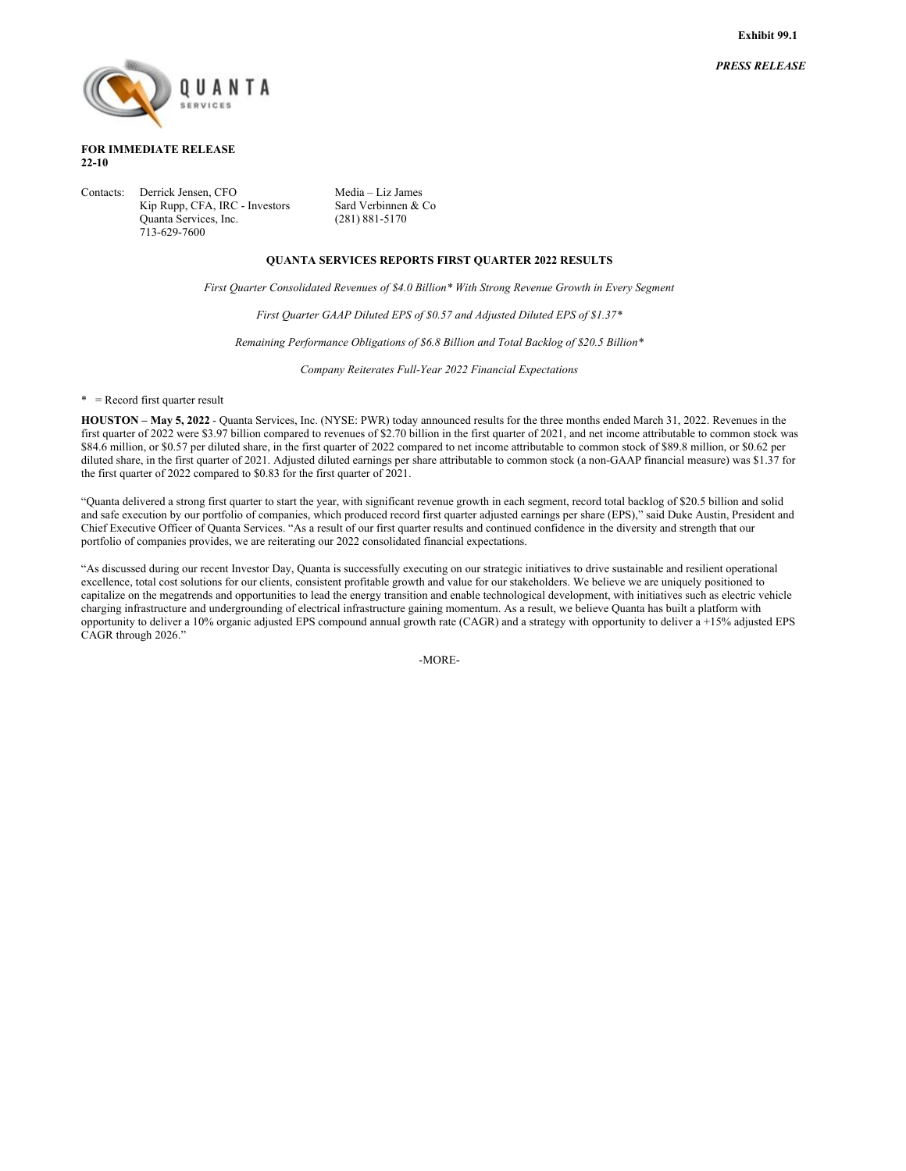*PRESS RELEASE*



## **FOR IMMEDIATE RELEASE 22-10**

Contacts: Derrick Jensen, CFO Media – Liz James Kip Rupp, CFA, IRC - Investors Sard Verbinnen & Co<br>Quanta Services, Inc. (281) 881-5170 Quanta Services, Inc. 713-629-7600

## **QUANTA SERVICES REPORTS FIRST QUARTER 2022 RESULTS**

*First Quarter Consolidated Revenues of \$4.0 Billion\* With Strong Revenue Growth in Every Segment*

*First Quarter GAAP Diluted EPS of \$0.57 and Adjusted Diluted EPS of \$1.37\**

*Remaining Performance Obligations of \$6.8 Billion and Total Backlog of \$20.5 Billion\**

*Company Reiterates Full-Year 2022 Financial Expectations*

\* = Record first quarter result

**HOUSTON – May 5, 2022** - Quanta Services, Inc. (NYSE: PWR) today announced results for the three months ended March 31, 2022. Revenues in the first quarter of 2022 were \$3.97 billion compared to revenues of \$2.70 billion in the first quarter of 2021, and net income attributable to common stock was \$84.6 million, or \$0.57 per diluted share, in the first quarter of 2022 compared to net income attributable to common stock of \$89.8 million, or \$0.62 per diluted share, in the first quarter of 2021. Adjusted diluted earnings per share attributable to common stock (a non-GAAP financial measure) was \$1.37 for the first quarter of 2022 compared to \$0.83 for the first quarter of 2021.

"Quanta delivered a strong first quarter to start the year, with significant revenue growth in each segment, record total backlog of \$20.5 billion and solid and safe execution by our portfolio of companies, which produced record first quarter adjusted earnings per share (EPS)," said Duke Austin, President and Chief Executive Officer of Quanta Services. "As a result of our first quarter results and continued confidence in the diversity and strength that our portfolio of companies provides, we are reiterating our 2022 consolidated financial expectations.

"As discussed during our recent Investor Day, Quanta is successfully executing on our strategic initiatives to drive sustainable and resilient operational excellence, total cost solutions for our clients, consistent profitable growth and value for our stakeholders. We believe we are uniquely positioned to capitalize on the megatrends and opportunities to lead the energy transition and enable technological development, with initiatives such as electric vehicle charging infrastructure and undergrounding of electrical infrastructure gaining momentum. As a result, we believe Quanta has built a platform with opportunity to deliver a 10% organic adjusted EPS compound annual growth rate (CAGR) and a strategy with opportunity to deliver  $\hat{a}$  +15% adjusted EPS CAGR through 2026."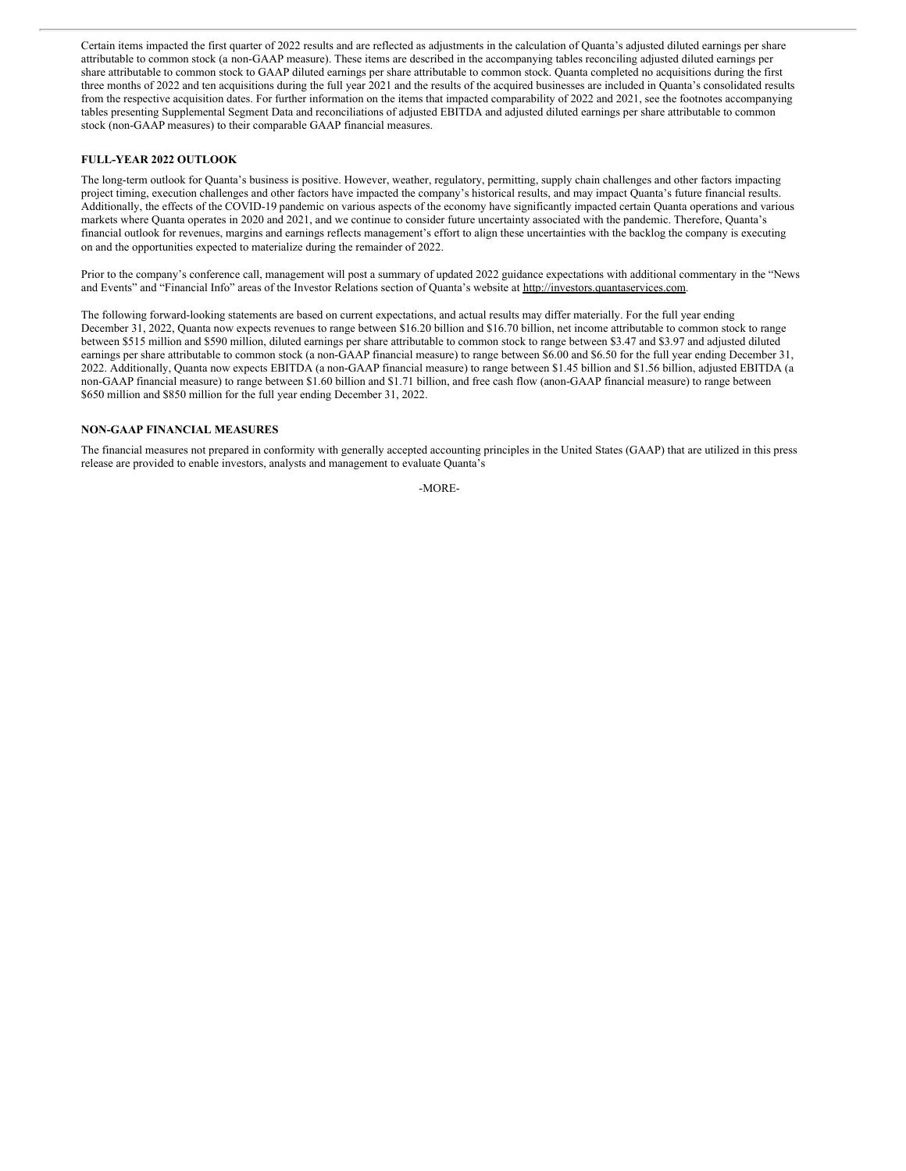Certain items impacted the first quarter of 2022 results and are reflected as adjustments in the calculation of Quanta's adjusted diluted earnings per share attributable to common stock (a non-GAAP measure). These items are described in the accompanying tables reconciling adjusted diluted earnings per share attributable to common stock to GAAP diluted earnings per share attributable to common stock. Quanta completed no acquisitions during the first three months of 2022 and ten acquisitions during the full year 2021 and the results of the acquired businesses are included in Quanta's consolidated results from the respective acquisition dates. For further information on the items that impacted comparability of 2022 and 2021, see the footnotes accompanying tables presenting Supplemental Segment Data and reconciliations of adjusted EBITDA and adjusted diluted earnings per share attributable to common stock (non-GAAP measures) to their comparable GAAP financial measures.

## **FULL-YEAR 2022 OUTLOOK**

The long-term outlook for Quanta's business is positive. However, weather, regulatory, permitting, supply chain challenges and other factors impacting project timing, execution challenges and other factors have impacted the company's historical results, and may impact Quanta's future financial results. Additionally, the effects of the COVID-19 pandemic on various aspects of the economy have significantly impacted certain Quanta operations and various markets where Quanta operates in 2020 and 2021, and we continue to consider future uncertainty associated with the pandemic. Therefore, Quanta's financial outlook for revenues, margins and earnings reflects management's effort to align these uncertainties with the backlog the company is executing on and the opportunities expected to materialize during the remainder of 2022.

Prior to the company's conference call, management will post a summary of updated 2022 guidance expectations with additional commentary in the "News and Events" and "Financial Info" areas of the Investor Relations section of Quanta's website at http://investors.quantaservices.com.

The following forward-looking statements are based on current expectations, and actual results may differ materially. For the full year ending December 31, 2022, Quanta now expects revenues to range between \$16.20 billion and \$16.70 billion, net income attributable to common stock to range between \$515 million and \$590 million, diluted earnings per share attributable to common stock to range between \$3.47 and \$3.97 and adjusted diluted earnings per share attributable to common stock (a non-GAAP financial measure) to range between \$6.00 and \$6.50 for the full year ending December 31, 2022. Additionally, Quanta now expects EBITDA (a non-GAAP financial measure) to range between \$1.45 billion and \$1.56 billion, adjusted EBITDA (a non-GAAP financial measure) to range between \$1.60 billion and \$1.71 billion, and free cash flow (anon-GAAP financial measure) to range between \$650 million and \$850 million for the full year ending December 31, 2022.

## **NON-GAAP FINANCIAL MEASURES**

The financial measures not prepared in conformity with generally accepted accounting principles in the United States (GAAP) that are utilized in this press release are provided to enable investors, analysts and management to evaluate Quanta's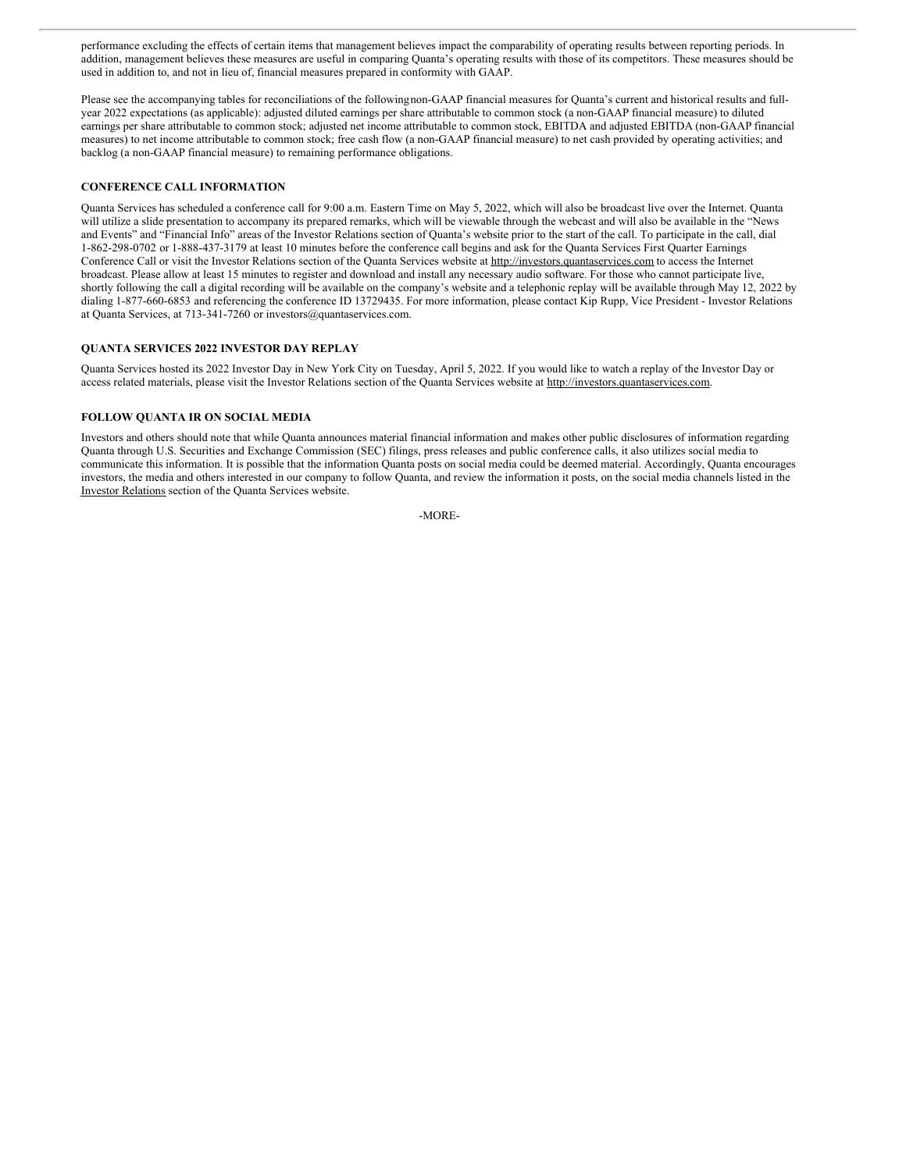performance excluding the effects of certain items that management believes impact the comparability of operating results between reporting periods. In addition, management believes these measures are useful in comparing Quanta's operating results with those of its competitors. These measures should be used in addition to, and not in lieu of, financial measures prepared in conformity with GAAP.

Please see the accompanying tables for reconciliations of the followingnon-GAAP financial measures for Quanta's current and historical results and fullyear 2022 expectations (as applicable): adjusted diluted earnings per share attributable to common stock (a non-GAAP financial measure) to diluted earnings per share attributable to common stock; adjusted net income attributable to common stock, EBITDA and adjusted EBITDA (non-GAAP financial measures) to net income attributable to common stock; free cash flow (a non-GAAP financial measure) to net cash provided by operating activities; and backlog (a non-GAAP financial measure) to remaining performance obligations.

## **CONFERENCE CALL INFORMATION**

Quanta Services has scheduled a conference call for 9:00 a.m. Eastern Time on May 5, 2022, which will also be broadcast live over the Internet. Quanta will utilize a slide presentation to accompany its prepared remarks, which will be viewable through the webcast and will also be available in the "News and Events" and "Financial Info" areas of the Investor Relations section of Quanta's website prior to the start of the call. To participate in the call, dial 1-862-298-0702 or 1-888-437-3179 at least 10 minutes before the conference call begins and ask for the Quanta Services First Quarter Earnings Conference Call or visit the Investor Relations section of the Quanta Services website at http://investors.quantaservices.com to access the Internet broadcast. Please allow at least 15 minutes to register and download and install any necessary audio software. For those who cannot participate live, shortly following the call a digital recording will be available on the company's website and a telephonic replay will be available through May 12, 2022 by dialing 1-877-660-6853 and referencing the conference ID 13729435. For more information, please contact Kip Rupp, Vice President - Investor Relations at Quanta Services, at 713-341-7260 or investors@quantaservices.com.

## **QUANTA SERVICES 2022 INVESTOR DAY REPLAY**

Quanta Services hosted its 2022 Investor Day in New York City on Tuesday, April 5, 2022. If you would like to watch a replay of the Investor Day or access related materials, please visit the Investor Relations section of the Quanta Services website at http://investors.quantaservices.com.

## **FOLLOW QUANTA IR ON SOCIAL MEDIA**

Investors and others should note that while Quanta announces material financial information and makes other public disclosures of information regarding Quanta through U.S. Securities and Exchange Commission (SEC) filings, press releases and public conference calls, it also utilizes social media to communicate this information. It is possible that the information Quanta posts on social media could be deemed material. Accordingly, Quanta encourages investors, the media and others interested in our company to follow Quanta, and review the information it posts, on the social media channels listed in the Investor Relations section of the Quanta Services website.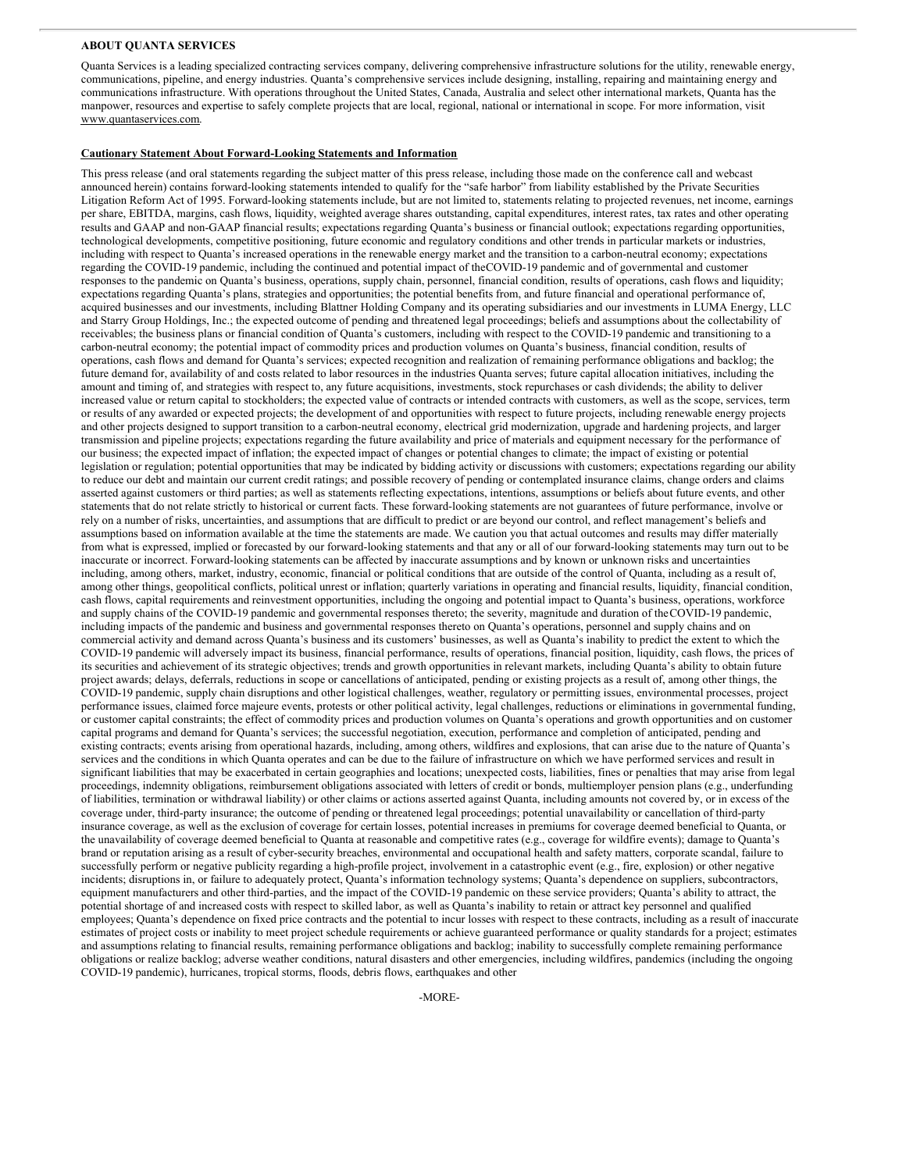#### **ABOUT QUANTA SERVICES**

Quanta Services is a leading specialized contracting services company, delivering comprehensive infrastructure solutions for the utility, renewable energy, communications, pipeline, and energy industries. Quanta's comprehensive services include designing, installing, repairing and maintaining energy and communications infrastructure. With operations throughout the United States, Canada, Australia and select other international markets, Quanta has the manpower, resources and expertise to safely complete projects that are local, regional, national or international in scope. For more information, visit www.quantaservices.com.

#### **Cautionary Statement About Forward-Looking Statements and Information**

This press release (and oral statements regarding the subject matter of this press release, including those made on the conference call and webcast announced herein) contains forward-looking statements intended to qualify for the "safe harbor" from liability established by the Private Securities Litigation Reform Act of 1995. Forward-looking statements include, but are not limited to, statements relating to projected revenues, net income, earnings per share, EBITDA, margins, cash flows, liquidity, weighted average shares outstanding, capital expenditures, interest rates, tax rates and other operating results and GAAP and non-GAAP financial results; expectations regarding Quanta's business or financial outlook; expectations regarding opportunities, technological developments, competitive positioning, future economic and regulatory conditions and other trends in particular markets or industries, including with respect to Quanta's increased operations in the renewable energy market and the transition to a carbon-neutral economy; expectations regarding the COVID-19 pandemic, including the continued and potential impact of theCOVID-19 pandemic and of governmental and customer responses to the pandemic on Quanta's business, operations, supply chain, personnel, financial condition, results of operations, cash flows and liquidity; expectations regarding Quanta's plans, strategies and opportunities; the potential benefits from, and future financial and operational performance of, acquired businesses and our investments, including Blattner Holding Company and its operating subsidiaries and our investments in LUMA Energy, LLC and Starry Group Holdings, Inc.; the expected outcome of pending and threatened legal proceedings; beliefs and assumptions about the collectability of receivables; the business plans or financial condition of Quanta's customers, including with respect to the COVID-19 pandemic and transitioning to a carbon-neutral economy; the potential impact of commodity prices and production volumes on Quanta's business, financial condition, results of operations, cash flows and demand for Quanta's services; expected recognition and realization of remaining performance obligations and backlog; the future demand for, availability of and costs related to labor resources in the industries Quanta serves; future capital allocation initiatives, including the amount and timing of, and strategies with respect to, any future acquisitions, investments, stock repurchases or cash dividends; the ability to deliver increased value or return capital to stockholders; the expected value of contracts or intended contracts with customers, as well as the scope, services, term or results of any awarded or expected projects; the development of and opportunities with respect to future projects, including renewable energy projects and other projects designed to support transition to a carbon-neutral economy, electrical grid modernization, upgrade and hardening projects, and larger transmission and pipeline projects; expectations regarding the future availability and price of materials and equipment necessary for the performance of our business; the expected impact of inflation; the expected impact of changes or potential changes to climate; the impact of existing or potential legislation or regulation; potential opportunities that may be indicated by bidding activity or discussions with customers; expectations regarding our ability to reduce our debt and maintain our current credit ratings; and possible recovery of pending or contemplated insurance claims, change orders and claims asserted against customers or third parties; as well as statements reflecting expectations, intentions, assumptions or beliefs about future events, and other statements that do not relate strictly to historical or current facts. These forward-looking statements are not guarantees of future performance, involve or rely on a number of risks, uncertainties, and assumptions that are difficult to predict or are beyond our control, and reflect management's beliefs and assumptions based on information available at the time the statements are made. We caution you that actual outcomes and results may differ materially from what is expressed, implied or forecasted by our forward-looking statements and that any or all of our forward-looking statements may turn out to be inaccurate or incorrect. Forward-looking statements can be affected by inaccurate assumptions and by known or unknown risks and uncertainties including, among others, market, industry, economic, financial or political conditions that are outside of the control of Quanta, including as a result of, among other things, geopolitical conflicts, political unrest or inflation; quarterly variations in operating and financial results, liquidity, financial condition, cash flows, capital requirements and reinvestment opportunities, including the ongoing and potential impact to Quanta's business, operations, workforce and supply chains of the COVID-19 pandemic and governmental responses thereto; the severity, magnitude and duration of theCOVID-19 pandemic, including impacts of the pandemic and business and governmental responses thereto on Quanta's operations, personnel and supply chains and on commercial activity and demand across Quanta's business and its customers' businesses, as well as Quanta's inability to predict the extent to which the COVID-19 pandemic will adversely impact its business, financial performance, results of operations, financial position, liquidity, cash flows, the prices of its securities and achievement of its strategic objectives; trends and growth opportunities in relevant markets, including Quanta's ability to obtain future project awards; delays, deferrals, reductions in scope or cancellations of anticipated, pending or existing projects as a result of, among other things, the COVID-19 pandemic, supply chain disruptions and other logistical challenges, weather, regulatory or permitting issues, environmental processes, project performance issues, claimed force majeure events, protests or other political activity, legal challenges, reductions or eliminations in governmental funding, or customer capital constraints; the effect of commodity prices and production volumes on Quanta's operations and growth opportunities and on customer capital programs and demand for Quanta's services; the successful negotiation, execution, performance and completion of anticipated, pending and existing contracts; events arising from operational hazards, including, among others, wildfires and explosions, that can arise due to the nature of Quanta's services and the conditions in which Quanta operates and can be due to the failure of infrastructure on which we have performed services and result in significant liabilities that may be exacerbated in certain geographies and locations; unexpected costs, liabilities, fines or penalties that may arise from legal proceedings, indemnity obligations, reimbursement obligations associated with letters of credit or bonds, multiemployer pension plans (e.g., underfunding of liabilities, termination or withdrawal liability) or other claims or actions asserted against Quanta, including amounts not covered by, or in excess of the coverage under, third-party insurance; the outcome of pending or threatened legal proceedings; potential unavailability or cancellation of third-party insurance coverage, as well as the exclusion of coverage for certain losses, potential increases in premiums for coverage deemed beneficial to Quanta, or the unavailability of coverage deemed beneficial to Quanta at reasonable and competitive rates (e.g., coverage for wildfire events); damage to Quanta's brand or reputation arising as a result of cyber-security breaches, environmental and occupational health and safety matters, corporate scandal, failure to successfully perform or negative publicity regarding a high-profile project, involvement in a catastrophic event (e.g., fire, explosion) or other negative incidents; disruptions in, or failure to adequately protect, Quanta's information technology systems; Quanta's dependence on suppliers, subcontractors, equipment manufacturers and other third-parties, and the impact of the COVID-19 pandemic on these service providers; Quanta's ability to attract, the potential shortage of and increased costs with respect to skilled labor, as well as Quanta's inability to retain or attract key personnel and qualified employees; Quanta's dependence on fixed price contracts and the potential to incur losses with respect to these contracts, including as a result of inaccurate estimates of project costs or inability to meet project schedule requirements or achieve guaranteed performance or quality standards for a project; estimates and assumptions relating to financial results, remaining performance obligations and backlog; inability to successfully complete remaining performance obligations or realize backlog; adverse weather conditions, natural disasters and other emergencies, including wildfires, pandemics (including the ongoing COVID-19 pandemic), hurricanes, tropical storms, floods, debris flows, earthquakes and other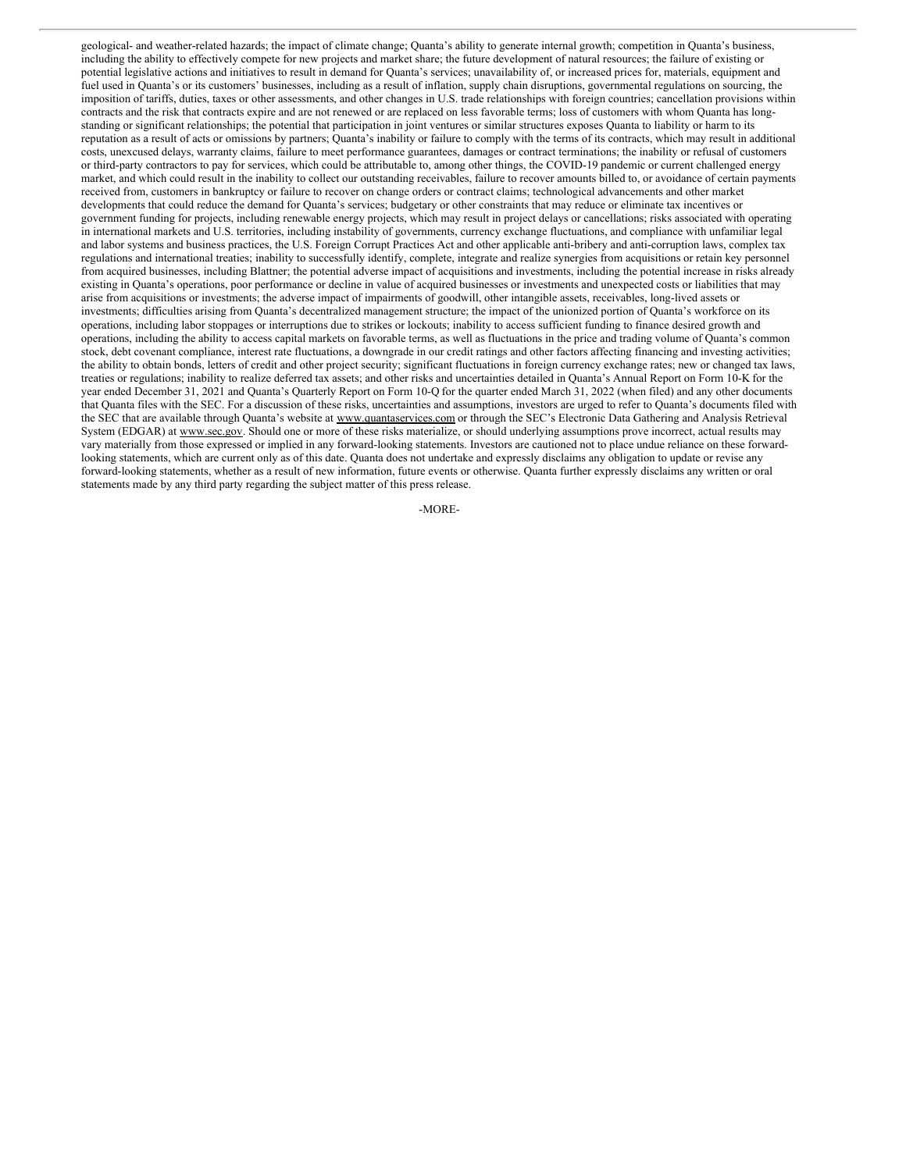geological- and weather-related hazards; the impact of climate change; Quanta's ability to generate internal growth; competition in Quanta's business, including the ability to effectively compete for new projects and market share; the future development of natural resources; the failure of existing or potential legislative actions and initiatives to result in demand for Quanta's services; unavailability of, or increased prices for, materials, equipment and fuel used in Quanta's or its customers' businesses, including as a result of inflation, supply chain disruptions, governmental regulations on sourcing, the imposition of tariffs, duties, taxes or other assessments, and other changes in U.S. trade relationships with foreign countries; cancellation provisions within contracts and the risk that contracts expire and are not renewed or are replaced on less favorable terms; loss of customers with whom Quanta has longstanding or significant relationships; the potential that participation in joint ventures or similar structures exposes Quanta to liability or harm to its reputation as a result of acts or omissions by partners; Quanta's inability or failure to comply with the terms of its contracts, which may result in additional costs, unexcused delays, warranty claims, failure to meet performance guarantees, damages or contract terminations; the inability or refusal of customers or third-party contractors to pay for services, which could be attributable to, among other things, the COVID-19 pandemic or current challenged energy market, and which could result in the inability to collect our outstanding receivables, failure to recover amounts billed to, or avoidance of certain payments received from, customers in bankruptcy or failure to recover on change orders or contract claims; technological advancements and other market developments that could reduce the demand for Quanta's services; budgetary or other constraints that may reduce or eliminate tax incentives or government funding for projects, including renewable energy projects, which may result in project delays or cancellations; risks associated with operating in international markets and U.S. territories, including instability of governments, currency exchange fluctuations, and compliance with unfamiliar legal and labor systems and business practices, the U.S. Foreign Corrupt Practices Act and other applicable anti-bribery and anti-corruption laws, complex tax regulations and international treaties; inability to successfully identify, complete, integrate and realize synergies from acquisitions or retain key personnel from acquired businesses, including Blattner; the potential adverse impact of acquisitions and investments, including the potential increase in risks already existing in Quanta's operations, poor performance or decline in value of acquired businesses or investments and unexpected costs or liabilities that may arise from acquisitions or investments; the adverse impact of impairments of goodwill, other intangible assets, receivables, long-lived assets or investments; difficulties arising from Quanta's decentralized management structure; the impact of the unionized portion of Quanta's workforce on its operations, including labor stoppages or interruptions due to strikes or lockouts; inability to access sufficient funding to finance desired growth and operations, including the ability to access capital markets on favorable terms, as well as fluctuations in the price and trading volume of Quanta's common stock, debt covenant compliance, interest rate fluctuations, a downgrade in our credit ratings and other factors affecting financing and investing activities; the ability to obtain bonds, letters of credit and other project security; significant fluctuations in foreign currency exchange rates; new or changed tax laws, treaties or regulations; inability to realize deferred tax assets; and other risks and uncertainties detailed in Quanta's Annual Report on Form 10-K for the year ended December 31, 2021 and Quanta's Quarterly Report on Form 10-Q for the quarter ended March 31, 2022 (when filed) and any other documents that Quanta files with the SEC. For a discussion of these risks, uncertainties and assumptions, investors are urged to refer to Quanta's documents filed with the SEC that are available through Quanta's website at www.quantaservices.com or through the SEC's Electronic Data Gathering and Analysis Retrieval System (EDGAR) at www.sec.gov. Should one or more of these risks materialize, or should underlying assumptions prove incorrect, actual results may vary materially from those expressed or implied in any forward-looking statements. Investors are cautioned not to place undue reliance on these forwardlooking statements, which are current only as of this date. Quanta does not undertake and expressly disclaims any obligation to update or revise any forward-looking statements, whether as a result of new information, future events or otherwise. Quanta further expressly disclaims any written or oral statements made by any third party regarding the subject matter of this press release.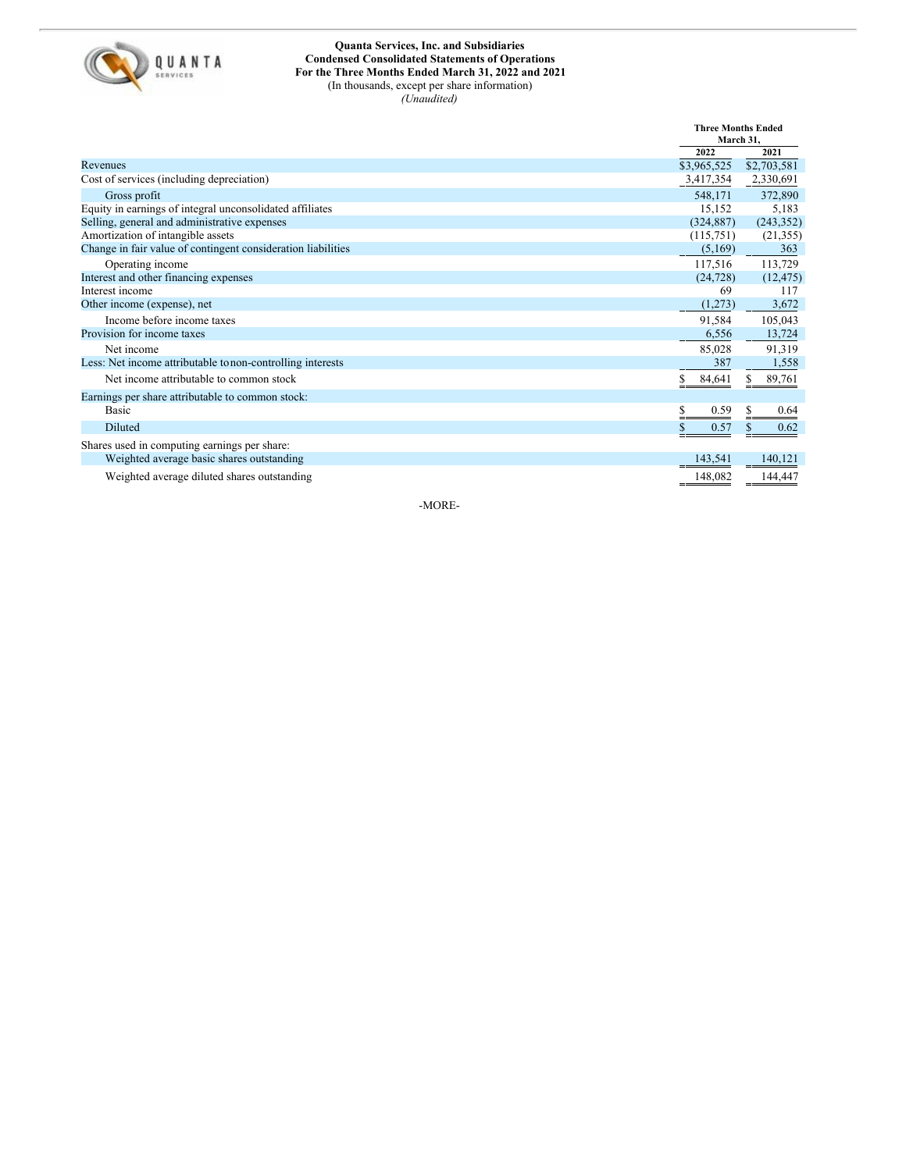

## **Quanta Services, Inc. and Subsidiaries Condensed Consolidated Statements of Operations For the Three Months Ended March 31, 2022 and 2021** (In thousands, except per share information)

*(Unaudited)*

|                                                              |             | <b>Three Months Ended</b><br>March 31. |  |
|--------------------------------------------------------------|-------------|----------------------------------------|--|
|                                                              | 2022        | 2021                                   |  |
| Revenues                                                     | \$3,965,525 | \$2,703,581                            |  |
| Cost of services (including depreciation)                    | 3,417,354   | 2,330,691                              |  |
| Gross profit                                                 | 548,171     | 372,890                                |  |
| Equity in earnings of integral unconsolidated affiliates     | 15,152      | 5,183                                  |  |
| Selling, general and administrative expenses                 | (324, 887)  | (243, 352)                             |  |
| Amortization of intangible assets                            | (115,751)   | (21, 355)                              |  |
| Change in fair value of contingent consideration liabilities | (5,169)     | 363                                    |  |
| Operating income                                             | 117,516     | 113,729                                |  |
| Interest and other financing expenses                        | (24, 728)   | (12, 475)                              |  |
| Interest income                                              | 69          | 117                                    |  |
| Other income (expense), net                                  | (1,273)     | 3,672                                  |  |
| Income before income taxes                                   | 91,584      | 105,043                                |  |
| Provision for income taxes                                   | 6,556       | 13,724                                 |  |
| Net income                                                   | 85,028      | 91,319                                 |  |
| Less: Net income attributable to non-controlling interests   | 387         | 1,558                                  |  |
| Net income attributable to common stock                      | 84,641      | 89,761                                 |  |
| Earnings per share attributable to common stock:             |             |                                        |  |
| <b>Basic</b>                                                 | 0.59<br>S   | 0.64                                   |  |
| <b>Diluted</b>                                               | \$.<br>0.57 | 0.62<br>\$                             |  |
| Shares used in computing earnings per share:                 |             |                                        |  |
| Weighted average basic shares outstanding                    | 143,541     | 140.121                                |  |
| Weighted average diluted shares outstanding                  | 148,082     |                                        |  |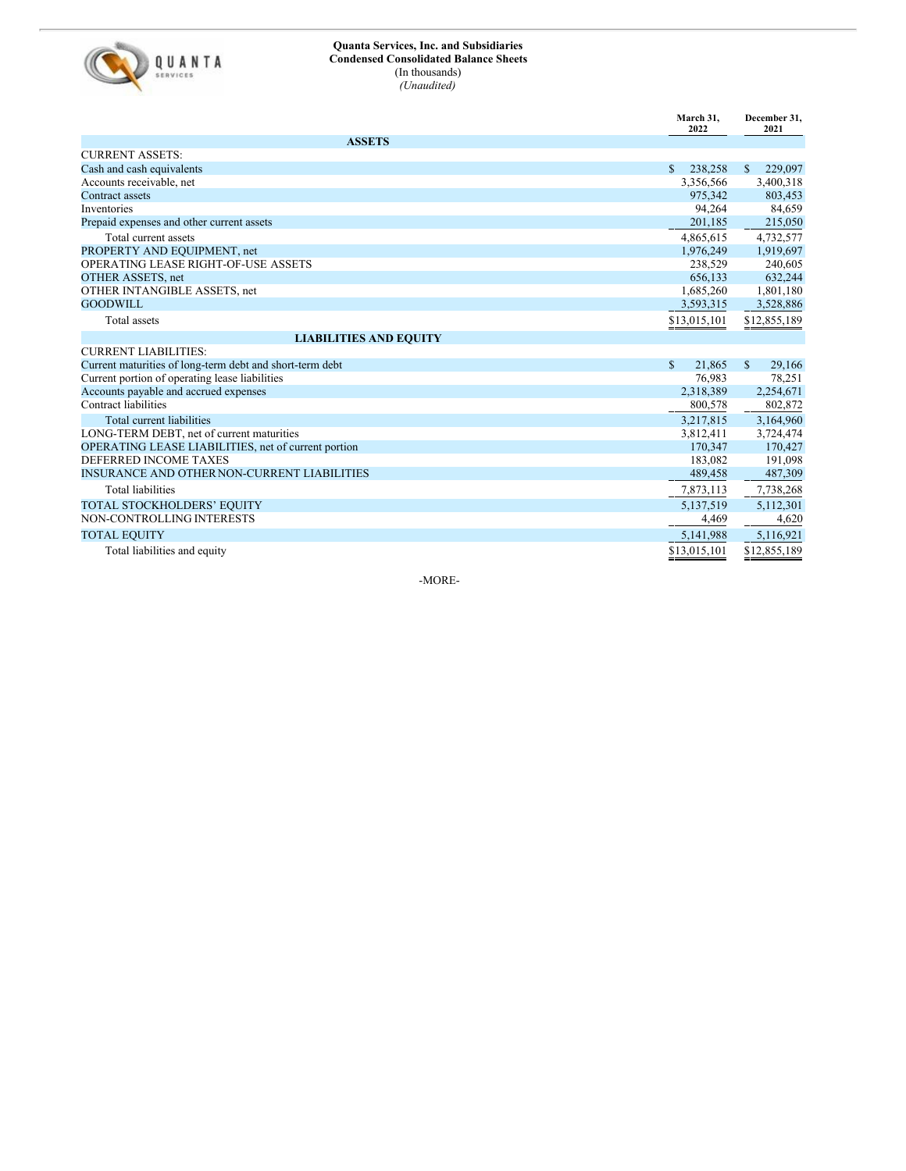

## **Quanta Services, Inc. and Subsidiaries Condensed Consolidated Balance Sheets** (In thousands) *(Unaudited)*

|                                                          | March 31,<br>2022          | December 31,<br>2021       |
|----------------------------------------------------------|----------------------------|----------------------------|
| <b>ASSETS</b>                                            |                            |                            |
| <b>CURRENT ASSETS:</b>                                   |                            |                            |
| Cash and cash equivalents                                | \$<br>238,258              | <sup>\$</sup><br>229,097   |
| Accounts receivable, net                                 | 3,356,566                  | 3,400,318                  |
| <b>Contract assets</b>                                   | 975,342                    | 803,453                    |
| Inventories                                              | 94,264                     | 84,659                     |
| Prepaid expenses and other current assets                | 201,185                    | 215,050                    |
| Total current assets                                     | 4,865,615                  | 4,732,577                  |
| PROPERTY AND EQUIPMENT, net                              | 1,976,249                  | 1,919,697                  |
| <b>OPERATING LEASE RIGHT-OF-USE ASSETS</b>               | 238,529                    | 240,605                    |
| OTHER ASSETS, net                                        | 656,133                    | 632,244                    |
| OTHER INTANGIBLE ASSETS, net                             | 1,685,260                  | 1,801,180                  |
| <b>GOODWILL</b>                                          | 3,593,315                  | 3,528,886                  |
| Total assets                                             | $\underline{\$13,015,101}$ | $\underline{\$12,855,189}$ |
| <b>LIABILITIES AND EQUITY</b>                            |                            |                            |
| <b>CURRENT LIABILITIES:</b>                              |                            |                            |
| Current maturities of long-term debt and short-term debt | \$<br>21,865               | <sup>\$</sup><br>29,166    |
| Current portion of operating lease liabilities           | 76,983                     | 78,251                     |
| Accounts payable and accrued expenses                    | 2,318,389                  | 2,254,671                  |
| Contract liabilities                                     | 800,578                    | 802,872                    |
| Total current liabilities                                | 3,217,815                  | 3,164,960                  |
| LONG-TERM DEBT, net of current maturities                | 3,812,411                  | 3,724,474                  |
| OPERATING LEASE LIABILITIES, net of current portion      | 170,347                    | 170,427                    |
| DEFERRED INCOME TAXES                                    | 183,082                    | 191,098                    |
| INSURANCE AND OTHER NON-CURRENT LIABILITIES              | 489,458                    | 487,309                    |
| <b>Total liabilities</b>                                 | 7,873,113                  | 7,738,268                  |
| <b>TOTAL STOCKHOLDERS' EQUITY</b>                        | 5,137,519                  | 5,112,301                  |
| NON-CONTROLLING INTERESTS                                | 4,469                      | 4,620                      |
| <b>TOTAL EQUITY</b>                                      | 5,141,988                  | 5,116,921                  |
| Total liabilities and equity                             | \$13,015,101               | \$12,855.189               |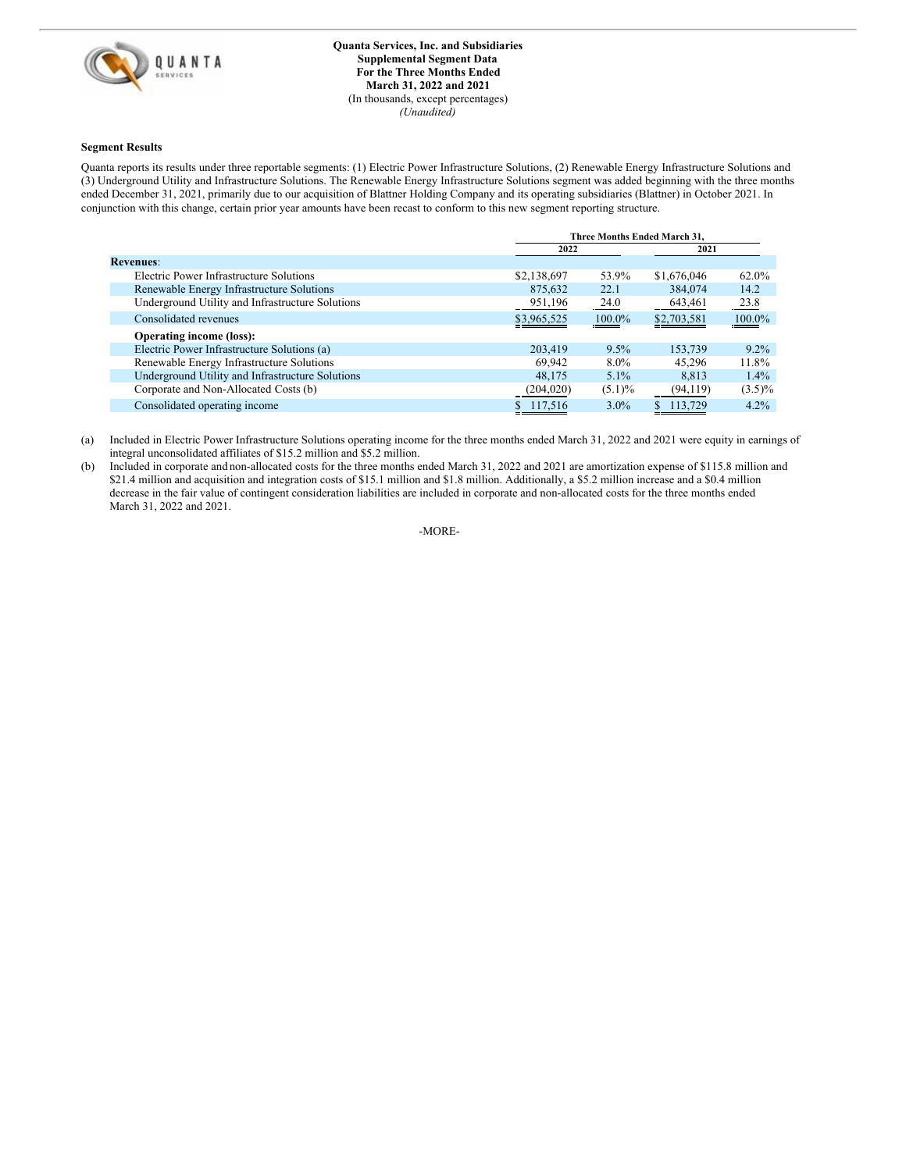

#### **Segment Results**

Quanta reports its results under three reportable segments: (1) Electric Power Infrastructure Solutions, (2) Renewable Energy Infrastructure Solutions and (3) Underground Utility and Infrastructure Solutions. The Renewable Energy Infrastructure Solutions segment was added beginning with the three months ended December 31, 2021, primarily due to our acquisition of Blattner Holding Company and its operating subsidiaries (Blattner) in October 2021. In conjunction with this change, certain prior year amounts have been recast to conform to this new segment reporting structure.

|                                                  |             | Three Months Ended March 31. |             |           |
|--------------------------------------------------|-------------|------------------------------|-------------|-----------|
|                                                  | 2022        |                              | 2021        |           |
| <b>Revenues:</b>                                 |             |                              |             |           |
| Electric Power Infrastructure Solutions          | \$2,138,697 | 53.9%                        | \$1,676,046 | 62.0%     |
| Renewable Energy Infrastructure Solutions        | 875,632     | 22.1                         | 384,074     | 14.2      |
| Underground Utility and Infrastructure Solutions | 951,196     | 24.0                         | 643,461     | 23.8      |
| Consolidated revenues                            | \$3,965,525 | 100.0%                       | \$2,703,581 | 100.0%    |
| <b>Operating income (loss):</b>                  |             |                              |             |           |
| Electric Power Infrastructure Solutions (a)      | 203,419     | $9.5\%$                      | 153,739     | $9.2\%$   |
| Renewable Energy Infrastructure Solutions        | 69.942      | $8.0\%$                      | 45.296      | 11.8%     |
| Underground Utility and Infrastructure Solutions | 48.175      | $5.1\%$                      | 8.813       | $1.4\%$   |
| Corporate and Non-Allocated Costs (b)            | (204, 020)  | $(5.1)\%$                    | (94, 119)   | $(3.5)\%$ |
| Consolidated operating income                    | \$117,516   | $3.0\%$                      | 113.729     | 4.2%      |

(a) Included in Electric Power Infrastructure Solutions operating income for the three months ended March 31, 2022 and 2021 were equity in earnings of integral unconsolidated affiliates of \$15.2 million and \$5.2 million.

(b) Included in corporate and non-allocated costs for the three months ended March 31, 2022 and 2021 are amortization expense of \$115.8 million and \$21.4 million and acquisition and integration costs of \$15.1 million and \$1.8 million. Additionally, a \$5.2 million increase and a \$0.4 million decrease in the fair value of contingent consideration liabilities are included in corporate and non-allocated costs for the three months ended March 31, 2022 and 2021.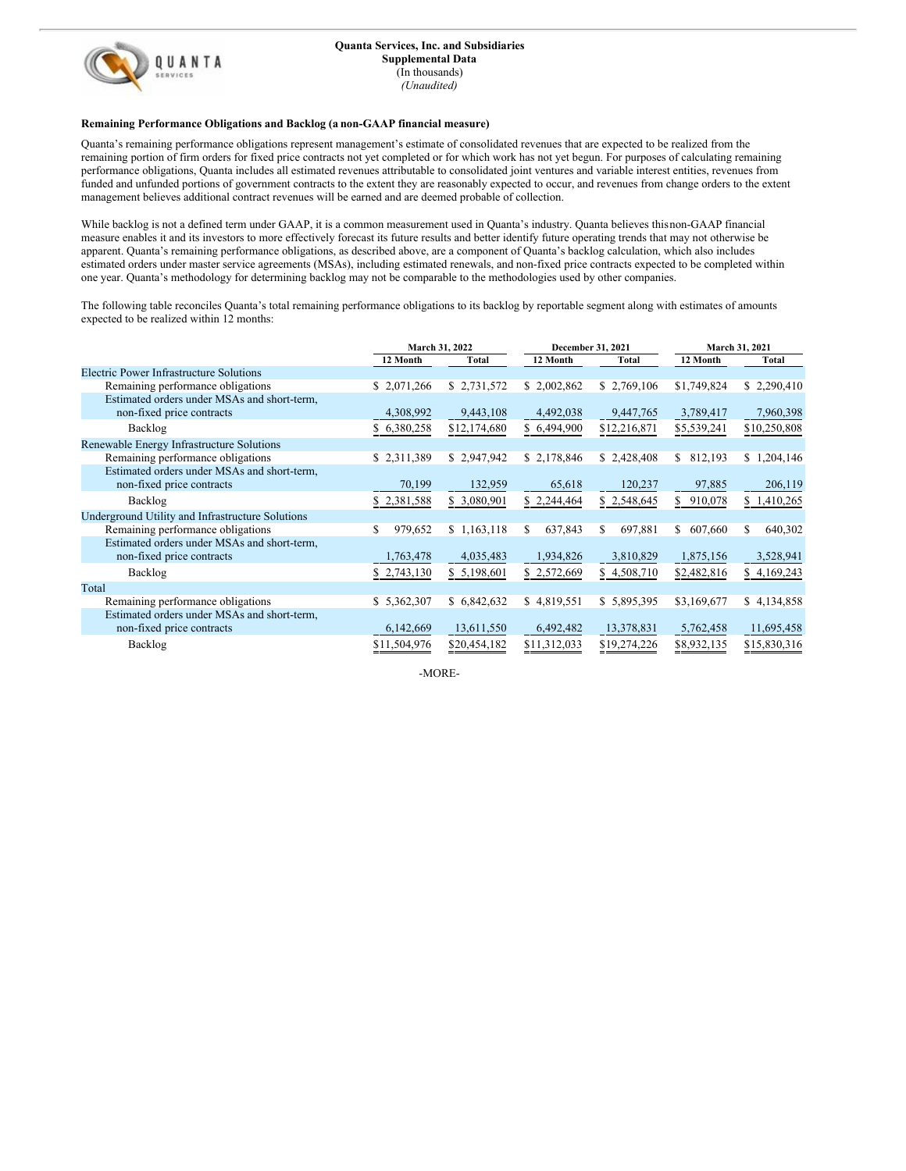

## **Remaining Performance Obligations and Backlog (a non-GAAP financial measure)**

Quanta's remaining performance obligations represent management's estimate of consolidated revenues that are expected to be realized from the remaining portion of firm orders for fixed price contracts not yet completed or for which work has not yet begun. For purposes of calculating remaining performance obligations, Quanta includes all estimated revenues attributable to consolidated joint ventures and variable interest entities, revenues from funded and unfunded portions of government contracts to the extent they are reasonably expected to occur, and revenues from change orders to the extent management believes additional contract revenues will be earned and are deemed probable of collection.

While backlog is not a defined term under GAAP, it is a common measurement used in Quanta's industry. Quanta believes thisnon-GAAP financial measure enables it and its investors to more effectively forecast its future results and better identify future operating trends that may not otherwise be apparent. Quanta's remaining performance obligations, as described above, are a component of Quanta's backlog calculation, which also includes estimated orders under master service agreements (MSAs), including estimated renewals, and non-fixed price contracts expected to be completed within one year. Quanta's methodology for determining backlog may not be comparable to the methodologies used by other companies.

The following table reconciles Quanta's total remaining performance obligations to its backlog by reportable segment along with estimates of amounts expected to be realized within 12 months:

|                                                  |              | March 31, 2022 |              | December 31, 2021 |               | March 31, 2021 |  |
|--------------------------------------------------|--------------|----------------|--------------|-------------------|---------------|----------------|--|
|                                                  | 12 Month     | <b>Total</b>   | 12 Month     | Total             | 12 Month      | Total          |  |
| Electric Power Infrastructure Solutions          |              |                |              |                   |               |                |  |
| Remaining performance obligations                | \$2,071,266  | \$2,731,572    | \$2,002,862  | \$2,769,106       | \$1,749,824   | \$2,290,410    |  |
| Estimated orders under MSAs and short-term,      |              |                |              |                   |               |                |  |
| non-fixed price contracts                        | 4,308,992    | 9,443,108      | 4,492,038    | 9,447,765         | 3,789,417     | 7,960,398      |  |
| Backlog                                          | \$6,380,258  | \$12,174,680   | \$6,494,900  | \$12,216,871      | \$5,539,241   | \$10,250,808   |  |
| Renewable Energy Infrastructure Solutions        |              |                |              |                   |               |                |  |
| Remaining performance obligations                | \$2,311,389  | \$2,947,942    | \$2,178,846  | \$2,428,408       | S<br>812,193  | \$1,204,146    |  |
| Estimated orders under MSAs and short-term,      |              |                |              |                   |               |                |  |
| non-fixed price contracts                        | 70,199       | 132,959        | 65,618       | 120,237           | 97,885        | 206,119        |  |
| Backlog                                          | \$2,381,588  | \$ 3,080,901   | \$2,244,464  | \$2,548,645       | \$<br>910,078 | \$1,410,265    |  |
| Underground Utility and Infrastructure Solutions |              |                |              |                   |               |                |  |
| Remaining performance obligations                | 979,652<br>S | \$1,163,118    | 637,843<br>S | 697,881<br>S      | \$<br>607,660 | 640,302<br>S.  |  |
| Estimated orders under MSAs and short-term,      |              |                |              |                   |               |                |  |
| non-fixed price contracts                        | 1,763,478    | 4,035,483      | 1,934,826    | 3,810,829         | 1,875,156     | 3,528,941      |  |
| Backlog                                          | \$2,743,130  | \$ 5,198,601   | \$2,572,669  | \$4,508,710       | \$2,482,816   | \$4,169,243    |  |
| Total                                            |              |                |              |                   |               |                |  |
| Remaining performance obligations                | \$5,362,307  | \$6,842,632    | \$4,819,551  | \$5,895,395       | \$3,169,677   | \$4,134,858    |  |
| Estimated orders under MSAs and short-term,      |              |                |              |                   |               |                |  |
| non-fixed price contracts                        | 6,142,669    | 13,611,550     | 6,492,482    | 13,378,831        | 5,762,458     | 11,695,458     |  |
| Backlog                                          | \$11,504,976 | \$20,454,182   | \$11,312,033 | \$19,274,226      | \$8,932,135   | \$15,830,316   |  |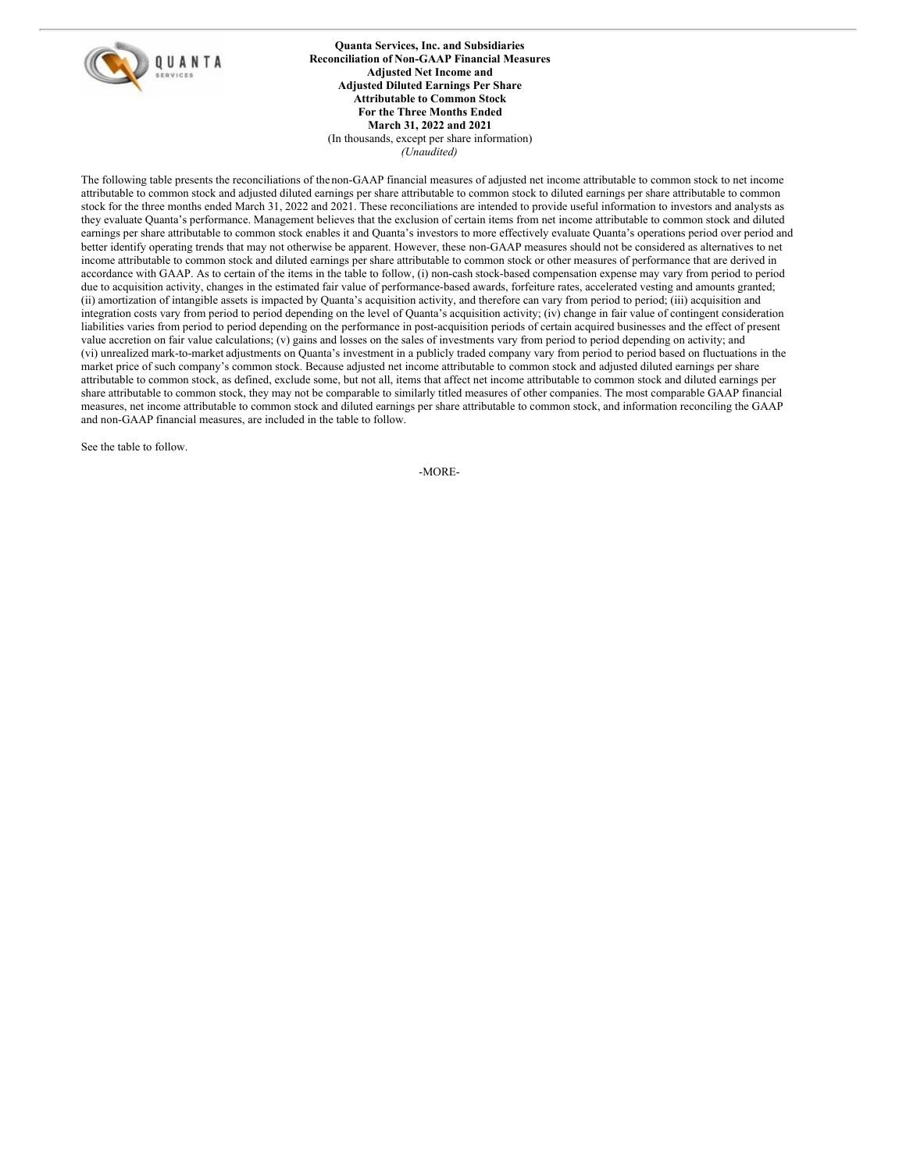<span id="page-12-0"></span>

**Quanta Services, Inc. and Subsidiaries Reconciliation of Non-GAAP Financial Measures Adjusted Net Income and Adjusted Diluted Earnings Per Share Attributable to Common Stock For the Three Months Ended March 31, 2022 and 2021** (In thousands, except per share information) *(Unaudited)*

The following table presents the reconciliations of the non-GAAP financial measures of adjusted net income attributable to common stock to net income attributable to common stock and adjusted diluted earnings per share attributable to common stock to diluted earnings per share attributable to common stock for the three months ended March 31, 2022 and 2021. These reconciliations are intended to provide useful information to investors and analysts as they evaluate Quanta's performance. Management believes that the exclusion of certain items from net income attributable to common stock and diluted earnings per share attributable to common stock enables it and Quanta's investors to more effectively evaluate Quanta's operations period over period and better identify operating trends that may not otherwise be apparent. However, these non-GAAP measures should not be considered as alternatives to net income attributable to common stock and diluted earnings per share attributable to common stock or other measures of performance that are derived in accordance with GAAP. As to certain of the items in the table to follow, (i) non-cash stock-based compensation expense may vary from period to period due to acquisition activity, changes in the estimated fair value of performance-based awards, forfeiture rates, accelerated vesting and amounts granted; (ii) amortization of intangible assets is impacted by Quanta's acquisition activity, and therefore can vary from period to period; (iii) acquisition and integration costs vary from period to period depending on the level of Quanta's acquisition activity; (iv) change in fair value of contingent consideration liabilities varies from period to period depending on the performance in post-acquisition periods of certain acquired businesses and the effect of present value accretion on fair value calculations; (v) gains and losses on the sales of investments vary from period to period depending on activity; and (vi) unrealized mark-to-market adjustments on Quanta's investment in a publicly traded company vary from period to period based on fluctuations in the market price of such company's common stock. Because adjusted net income attributable to common stock and adjusted diluted earnings per share attributable to common stock, as defined, exclude some, but not all, items that affect net income attributable to common stock and diluted earnings per share attributable to common stock, they may not be comparable to similarly titled measures of other companies. The most comparable GAAP financial measures, net income attributable to common stock and diluted earnings per share attributable to common stock, and information reconciling the GAAP and non-GAAP financial measures, are included in the table to follow.

See the table to follow.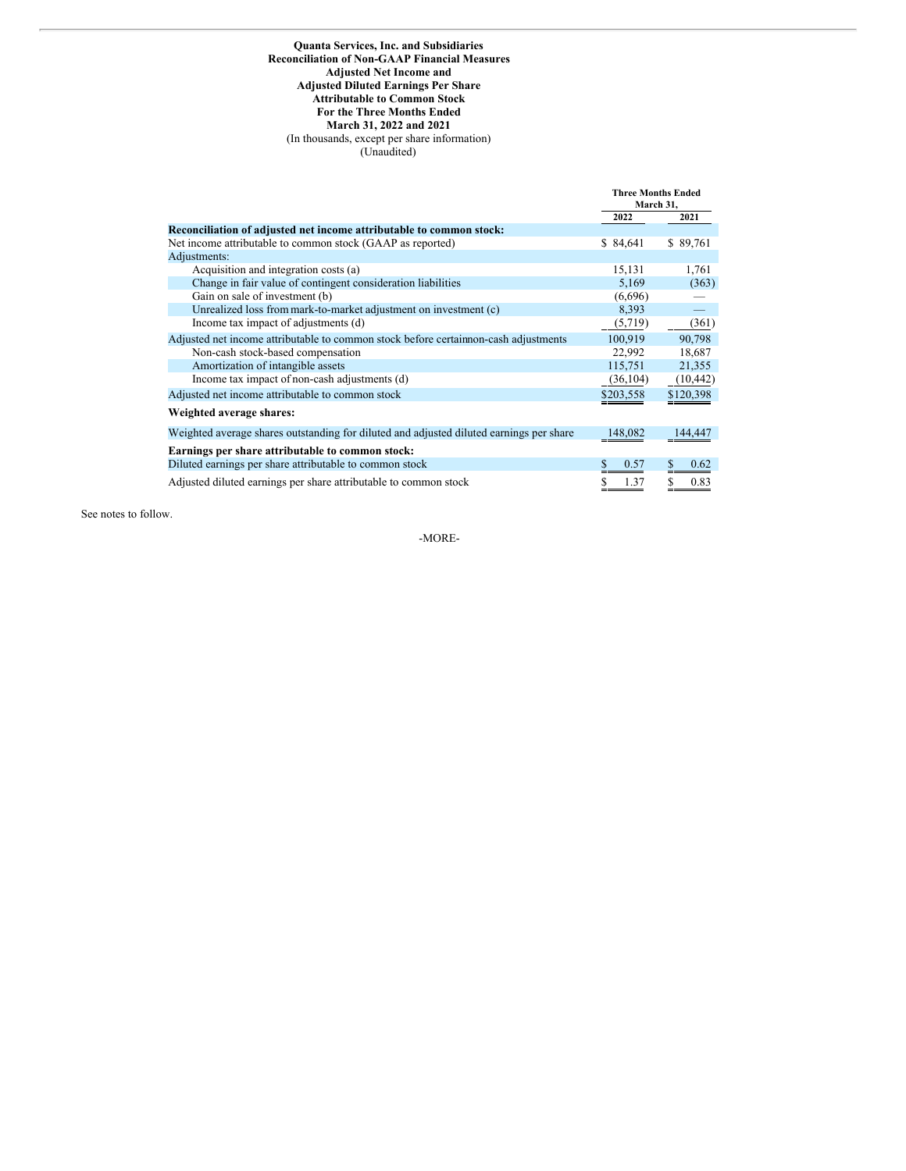## **Quanta Services, Inc. and Subsidiaries Reconciliation of Non-GAAP Financial Measures Adjusted Net Income and Adjusted Diluted Earnings Per Share Attributable to Common Stock For the Three Months Ended March 31, 2022 and 2021** (In thousands, except per share information) (Unaudited)

|                                                                                         | <b>Three Months Ended</b><br>March 31, |           |
|-----------------------------------------------------------------------------------------|----------------------------------------|-----------|
|                                                                                         | 2022                                   | 2021      |
| Reconciliation of adjusted net income attributable to common stock:                     |                                        |           |
| Net income attributable to common stock (GAAP as reported)                              | \$84,641                               | \$89,761  |
| Adjustments:                                                                            |                                        |           |
| Acquisition and integration costs (a)                                                   | 15,131                                 | 1,761     |
| Change in fair value of contingent consideration liabilities                            | 5,169                                  | (363)     |
| Gain on sale of investment (b)                                                          | (6,696)                                |           |
| Unrealized loss from mark-to-market adjustment on investment (c)                        | 8,393                                  |           |
| Income tax impact of adjustments (d)                                                    | (5,719)                                | (361)     |
| Adjusted net income attributable to common stock before certain non-cash adjustments    | 100,919                                | 90,798    |
| Non-cash stock-based compensation                                                       | 22,992                                 | 18,687    |
| Amortization of intangible assets                                                       | 115,751                                | 21,355    |
| Income tax impact of non-cash adjustments (d)                                           | (36, 104)                              | (10, 442) |
| Adjusted net income attributable to common stock                                        | \$203,558                              | \$120,398 |
| Weighted average shares:                                                                |                                        |           |
| Weighted average shares outstanding for diluted and adjusted diluted earnings per share | 148,082                                | 144.447   |
| Earnings per share attributable to common stock:                                        |                                        |           |
| Diluted earnings per share attributable to common stock                                 | 0.57                                   | S<br>0.62 |
| Adjusted diluted earnings per share attributable to common stock                        | 1.37                                   | 0.83      |

See notes to follow.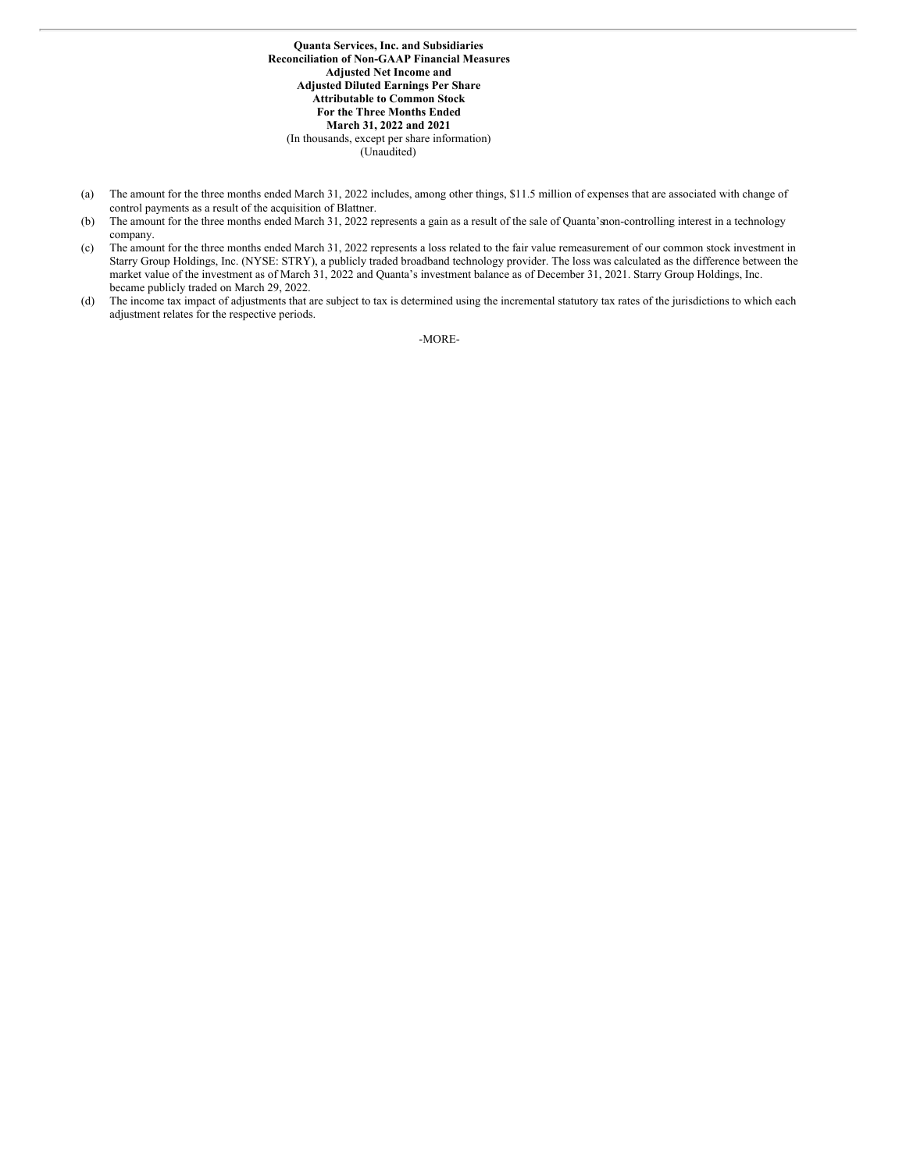**Quanta Services, Inc. and Subsidiaries Reconciliation of Non-GAAP Financial Measures Adjusted Net Income and Adjusted Diluted Earnings Per Share Attributable to Common Stock For the Three Months Ended March 31, 2022 and 2021** (In thousands, except per share information) (Unaudited)

- (a) The amount for the three months ended March 31, 2022 includes, among other things, \$11.5 million of expenses that are associated with change of control payments as a result of the acquisition of Blattner.
- (b) The amount for the three months ended March 31, 2022 represents a gain as a result of the sale of Quanta'snon-controlling interest in a technology company.
- (c) The amount for the three months ended March 31, 2022 represents a loss related to the fair value remeasurement of our common stock investment in Starry Group Holdings, Inc. (NYSE: STRY), a publicly traded broadband technology provider. The loss was calculated as the difference between the market value of the investment as of March 31, 2022 and Quanta's investment balance as of December 31, 2021. Starry Group Holdings, Inc. became publicly traded on March 29, 2022.
- (d) The income tax impact of adjustments that are subject to tax is determined using the incremental statutory tax rates of the jurisdictions to which each adjustment relates for the respective periods.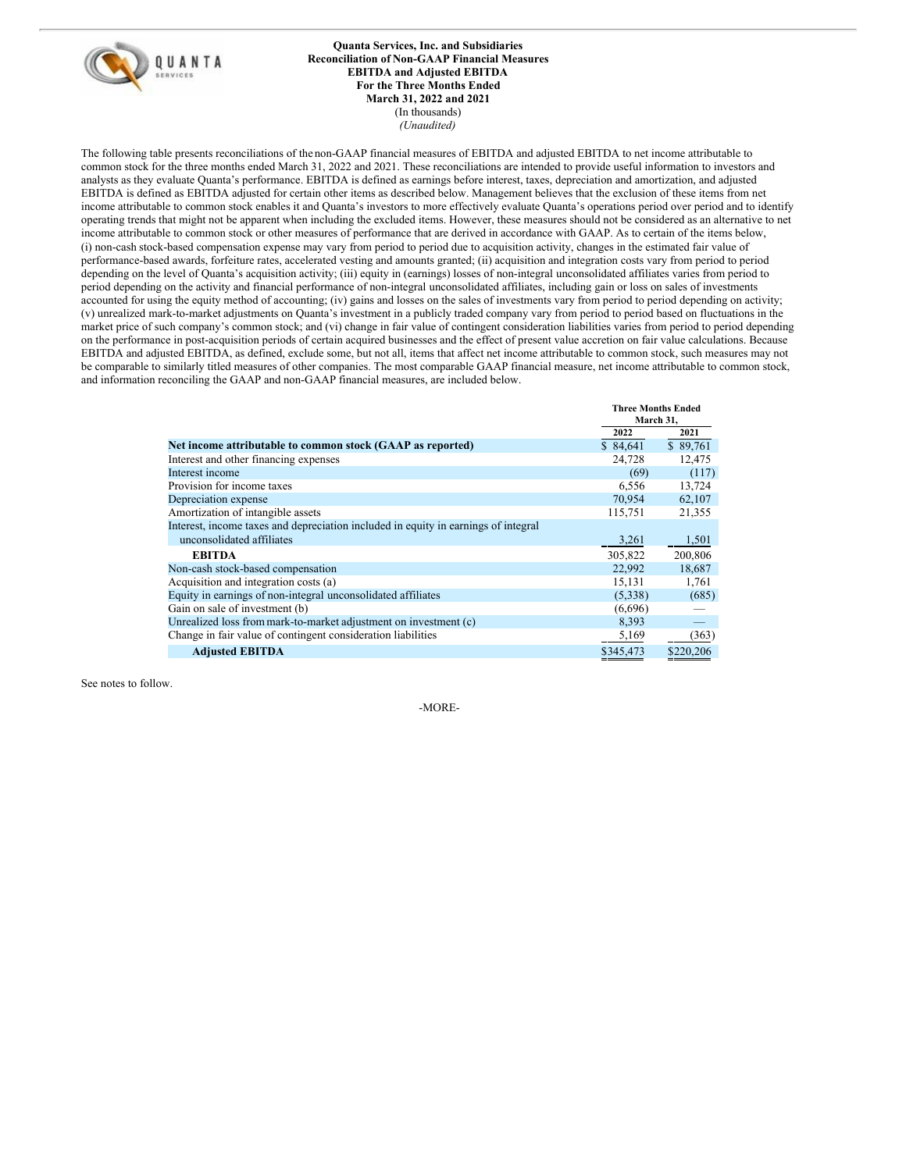

**Quanta Services, Inc. and Subsidiaries Reconciliation of Non-GAAP Financial Measures EBITDA and Adjusted EBITDA For the Three Months Ended March 31, 2022 and 2021** (In thousands) *(Unaudited)*

The following table presents reconciliations of the non-GAAP financial measures of EBITDA and adjusted EBITDA to net income attributable to common stock for the three months ended March 31, 2022 and 2021. These reconciliations are intended to provide useful information to investors and analysts as they evaluate Quanta's performance. EBITDA is defined as earnings before interest, taxes, depreciation and amortization, and adjusted EBITDA is defined as EBITDA adjusted for certain other items as described below. Management believes that the exclusion of these items from net income attributable to common stock enables it and Quanta's investors to more effectively evaluate Quanta's operations period over period and to identify operating trends that might not be apparent when including the excluded items. However, these measures should not be considered as an alternative to net income attributable to common stock or other measures of performance that are derived in accordance with GAAP. As to certain of the items below, (i) non-cash stock-based compensation expense may vary from period to period due to acquisition activity, changes in the estimated fair value of performance-based awards, forfeiture rates, accelerated vesting and amounts granted; (ii) acquisition and integration costs vary from period to period depending on the level of Quanta's acquisition activity; (iii) equity in (earnings) losses of non-integral unconsolidated affiliates varies from period to period depending on the activity and financial performance of non-integral unconsolidated affiliates, including gain or loss on sales of investments accounted for using the equity method of accounting; (iv) gains and losses on the sales of investments vary from period to period depending on activity; (v) unrealized mark-to-market adjustments on Quanta's investment in a publicly traded company vary from period to period based on fluctuations in the market price of such company's common stock; and (vi) change in fair value of contingent consideration liabilities varies from period to period depending on the performance in post-acquisition periods of certain acquired businesses and the effect of present value accretion on fair value calculations. Because EBITDA and adjusted EBITDA, as defined, exclude some, but not all, items that affect net income attributable to common stock, such measures may not be comparable to similarly titled measures of other companies. The most comparable GAAP financial measure, net income attributable to common stock, and information reconciling the GAAP and non-GAAP financial measures, are included below.

|                                                                                    | <b>Three Months Ended</b><br>March 31, |           |
|------------------------------------------------------------------------------------|----------------------------------------|-----------|
|                                                                                    | 2022                                   | 2021      |
| Net income attributable to common stock (GAAP as reported)                         | \$84,641                               | \$89,761  |
| Interest and other financing expenses                                              | 24,728                                 | 12,475    |
| Interest income                                                                    | (69)                                   | (117)     |
| Provision for income taxes                                                         | 6,556                                  | 13,724    |
| Depreciation expense                                                               | 70,954                                 | 62,107    |
| Amortization of intangible assets                                                  | 115,751                                | 21,355    |
| Interest, income taxes and depreciation included in equity in earnings of integral |                                        |           |
| unconsolidated affiliates                                                          | 3,261                                  | 1,501     |
| <b>EBITDA</b>                                                                      | 305,822                                | 200,806   |
| Non-cash stock-based compensation                                                  | 22,992                                 | 18,687    |
| Acquisition and integration costs (a)                                              | 15,131                                 | 1,761     |
| Equity in earnings of non-integral unconsolidated affiliates                       | (5,338)                                | (685)     |
| Gain on sale of investment (b)                                                     | (6,696)                                |           |
| Unrealized loss from mark-to-market adjustment on investment (c)                   | 8,393                                  |           |
| Change in fair value of contingent consideration liabilities                       | 5,169                                  | (363)     |
| <b>Adjusted EBITDA</b>                                                             | \$345,473                              | \$220,206 |

See notes to follow.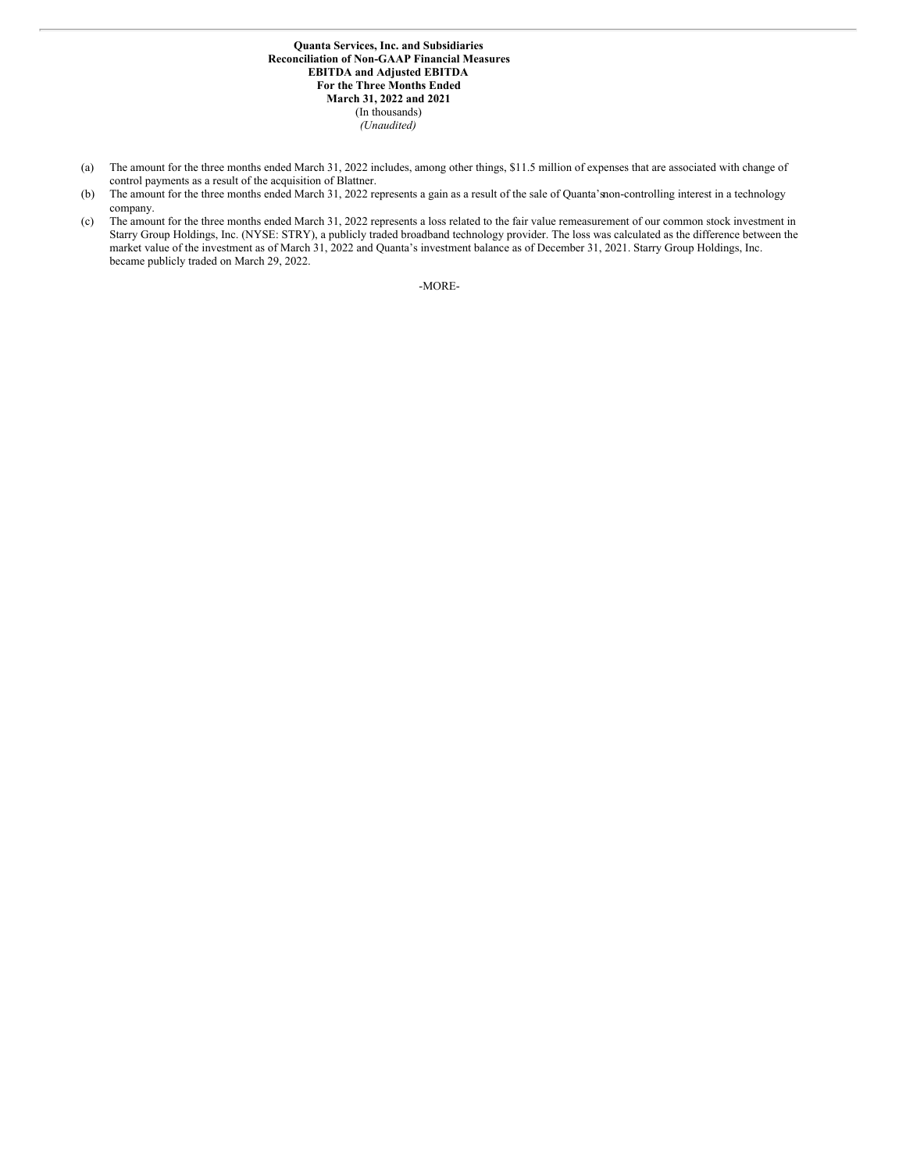**Quanta Services, Inc. and Subsidiaries Reconciliation of Non-GAAP Financial Measures EBITDA and Adjusted EBITDA For the Three Months Ended March 31, 2022 and 2021** (In thousands) *(Unaudited)*

- (a) The amount for the three months ended March 31, 2022 includes, among other things, \$11.5 million of expenses that are associated with change of control payments as a result of the acquisition of Blattner.
- (b) The amount for the three months ended March 31, 2022 represents a gain as a result of the sale of Quanta'snon-controlling interest in a technology company.
- (c) The amount for the three months ended March 31, 2022 represents a loss related to the fair value remeasurement of our common stock investment in Starry Group Holdings, Inc. (NYSE: STRY), a publicly traded broadband technology provider. The loss was calculated as the difference between the market value of the investment as of March 31, 2022 and Quanta's investment balance as of December 31, 2021. Starry Group Holdings, Inc. became publicly traded on March 29, 2022.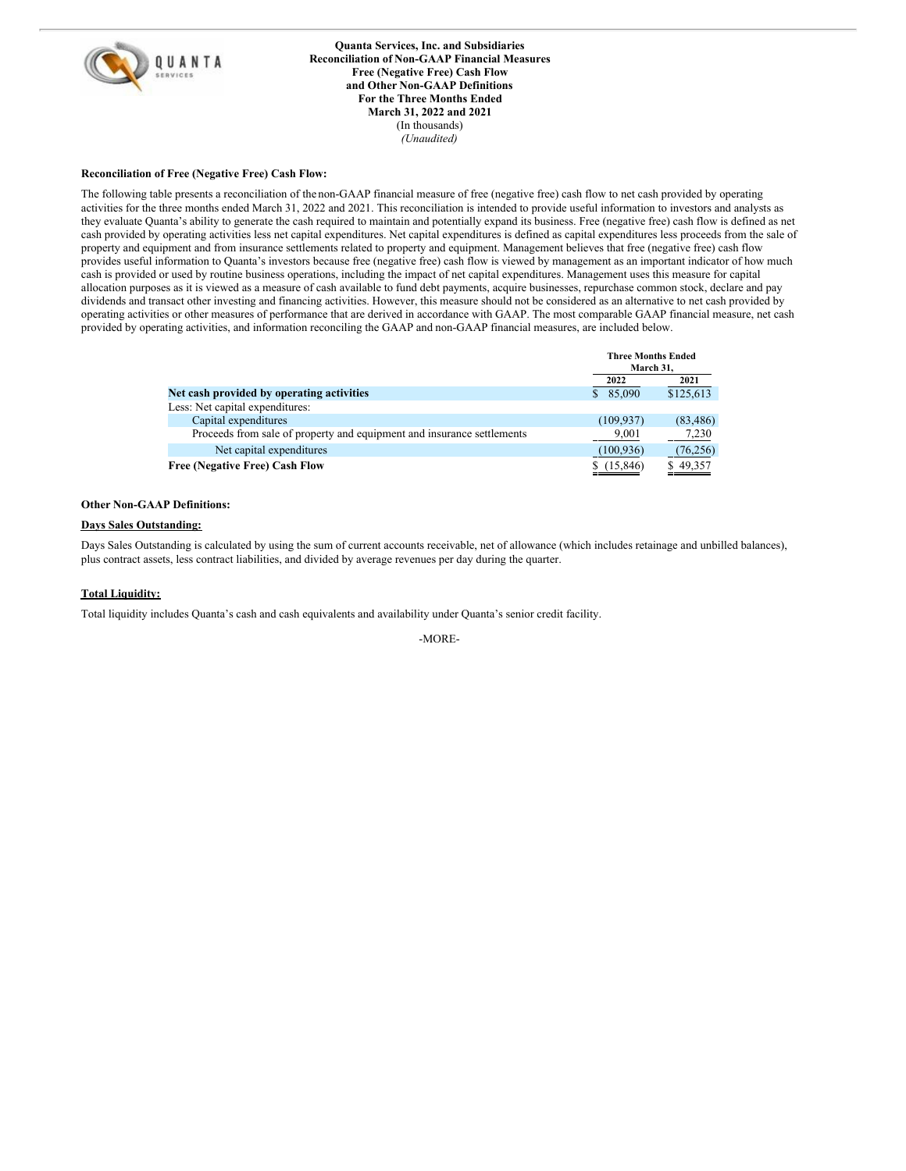

**Quanta Services, Inc. and Subsidiaries Reconciliation of Non-GAAP Financial Measures Free (Negative Free) Cash Flow and Other Non-GAAP Definitions For the Three Months Ended March 31, 2022 and 2021** (In thousands) *(Unaudited)*

## **Reconciliation of Free (Negative Free) Cash Flow:**

The following table presents a reconciliation of the non-GAAP financial measure of free (negative free) cash flow to net cash provided by operating activities for the three months ended March 31, 2022 and 2021. This reconciliation is intended to provide useful information to investors and analysts as they evaluate Quanta's ability to generate the cash required to maintain and potentially expand its business. Free (negative free) cash flow is defined as net cash provided by operating activities less net capital expenditures. Net capital expenditures is defined as capital expenditures less proceeds from the sale of property and equipment and from insurance settlements related to property and equipment. Management believes that free (negative free) cash flow provides useful information to Quanta's investors because free (negative free) cash flow is viewed by management as an important indicator of how much cash is provided or used by routine business operations, including the impact of net capital expenditures. Management uses this measure for capital allocation purposes as it is viewed as a measure of cash available to fund debt payments, acquire businesses, repurchase common stock, declare and pay dividends and transact other investing and financing activities. However, this measure should not be considered as an alternative to net cash provided by operating activities or other measures of performance that are derived in accordance with GAAP. The most comparable GAAP financial measure, net cash provided by operating activities, and information reconciling the GAAP and non-GAAP financial measures, are included below.

|                                                                        | <b>Three Months Ended</b><br>March 31. |           |
|------------------------------------------------------------------------|----------------------------------------|-----------|
|                                                                        | 2022                                   | 2021      |
| Net cash provided by operating activities                              | \$85,090                               | \$125,613 |
| Less: Net capital expenditures:                                        |                                        |           |
| Capital expenditures                                                   | (109, 937)                             | (83, 486) |
| Proceeds from sale of property and equipment and insurance settlements | 9,001                                  | 7,230     |
| Net capital expenditures                                               | (100, 936)                             | (76, 256) |
| <b>Free (Negative Free) Cash Flow</b>                                  | \$(15,846)                             | \$49,357  |

## **Other Non-GAAP Definitions:**

## **Days Sales Outstanding:**

Days Sales Outstanding is calculated by using the sum of current accounts receivable, net of allowance (which includes retainage and unbilled balances), plus contract assets, less contract liabilities, and divided by average revenues per day during the quarter.

## **Total Liquidity:**

Total liquidity includes Quanta's cash and cash equivalents and availability under Quanta's senior credit facility.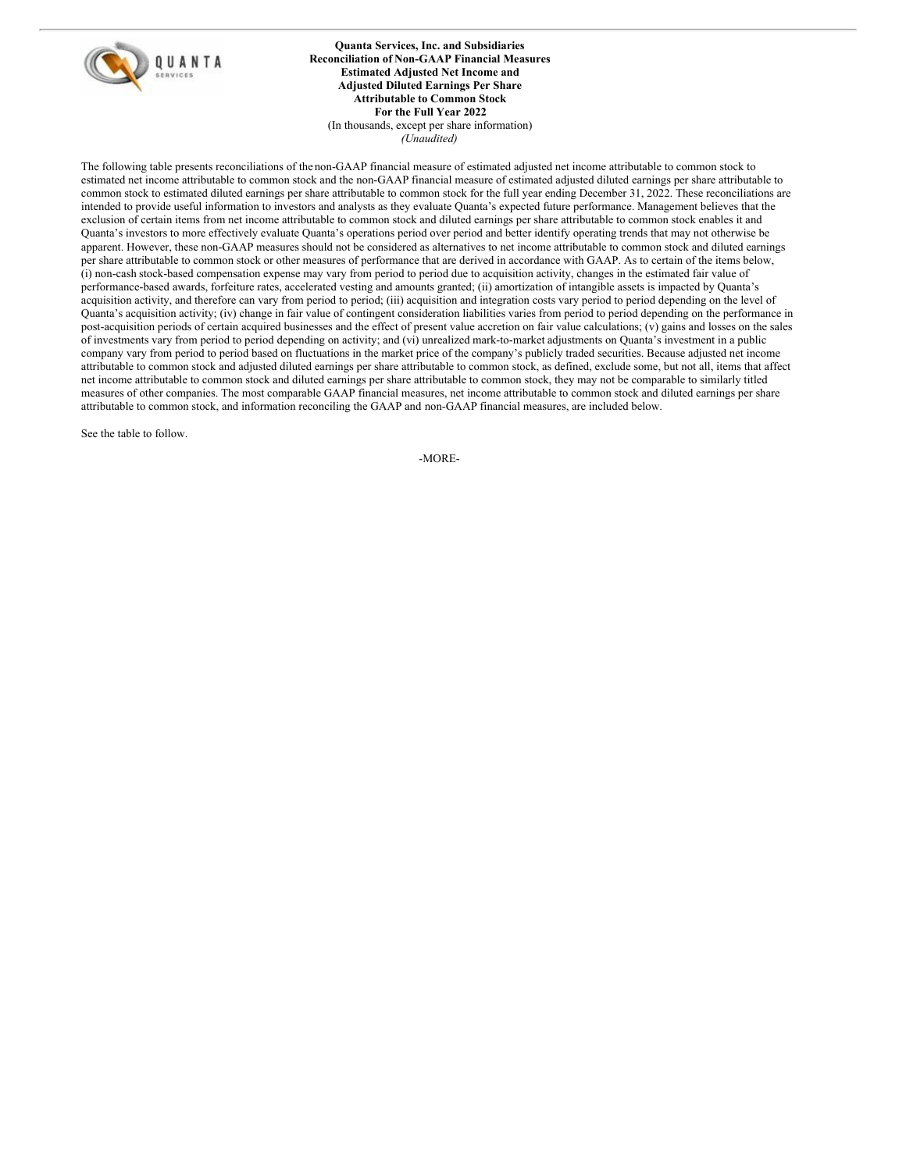

## **Quanta Services, Inc. and Subsidiaries Reconciliation of Non-GAAP Financial Measures Estimated Adjusted Net Income and Adjusted Diluted Earnings Per Share Attributable to Common Stock For the Full Year 2022** (In thousands, except per share information) *(Unaudited)*

The following table presents reconciliations of the non-GAAP financial measure of estimated adjusted net income attributable to common stock to estimated net income attributable to common stock and the non-GAAP financial measure of estimated adjusted diluted earnings per share attributable to common stock to estimated diluted earnings per share attributable to common stock for the full year ending December 31, 2022. These reconciliations are intended to provide useful information to investors and analysts as they evaluate Quanta's expected future performance. Management believes that the exclusion of certain items from net income attributable to common stock and diluted earnings per share attributable to common stock enables it and Quanta's investors to more effectively evaluate Quanta's operations period over period and better identify operating trends that may not otherwise be apparent. However, these non-GAAP measures should not be considered as alternatives to net income attributable to common stock and diluted earnings per share attributable to common stock or other measures of performance that are derived in accordance with GAAP. As to certain of the items below, (i) non-cash stock-based compensation expense may vary from period to period due to acquisition activity, changes in the estimated fair value of performance-based awards, forfeiture rates, accelerated vesting and amounts granted; (ii) amortization of intangible assets is impacted by Quanta's acquisition activity, and therefore can vary from period to period; (iii) acquisition and integration costs vary period to period depending on the level of Quanta's acquisition activity; (iv) change in fair value of contingent consideration liabilities varies from period to period depending on the performance in post-acquisition periods of certain acquired businesses and the effect of present value accretion on fair value calculations; (v) gains and losses on the sales of investments vary from period to period depending on activity; and (vi) unrealized mark-to-market adjustments on Quanta's investment in a public company vary from period to period based on fluctuations in the market price of the company's publicly traded securities. Because adjusted net income attributable to common stock and adjusted diluted earnings per share attributable to common stock, as defined, exclude some, but not all, items that affect net income attributable to common stock and diluted earnings per share attributable to common stock, they may not be comparable to similarly titled measures of other companies. The most comparable GAAP financial measures, net income attributable to common stock and diluted earnings per share attributable to common stock, and information reconciling the GAAP and non-GAAP financial measures, are included below.

See the table to follow.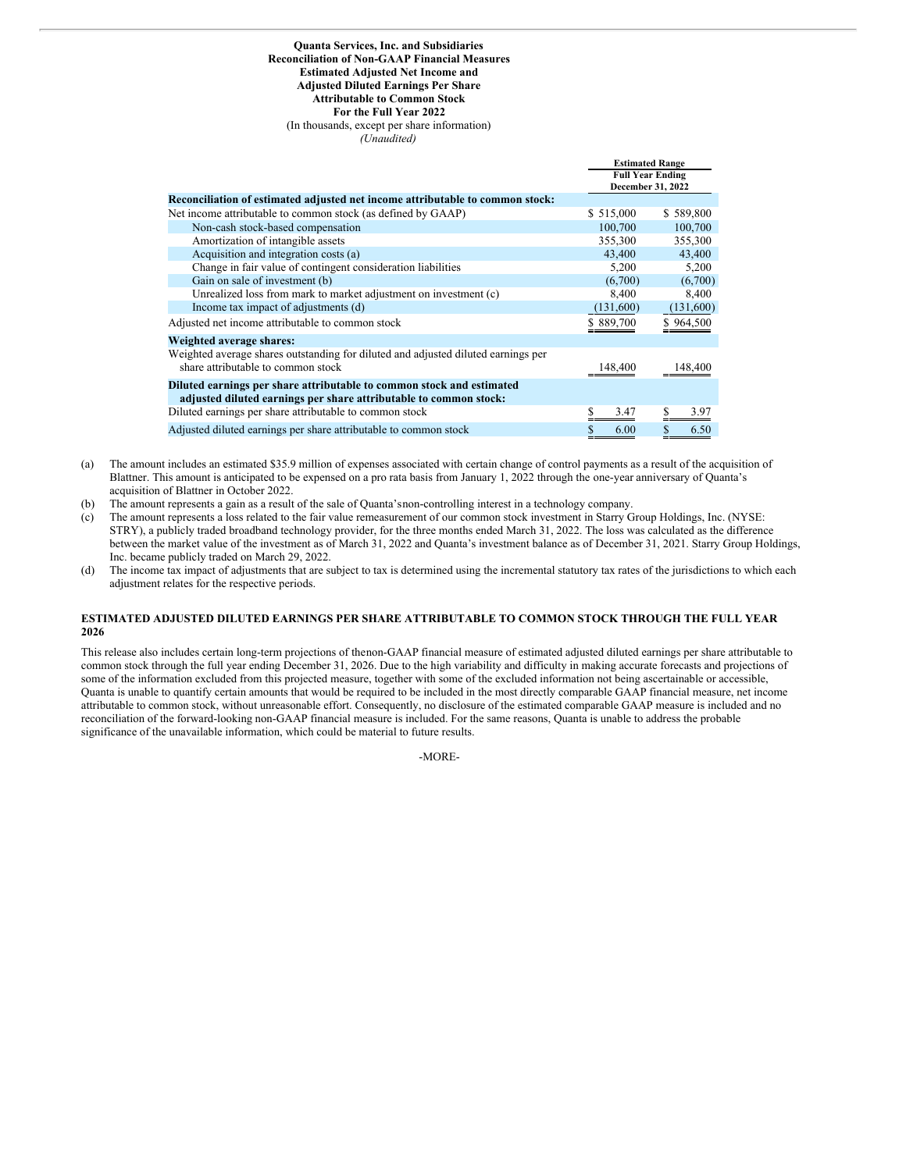#### **Quanta Services, Inc. and Subsidiaries Reconciliation of Non-GAAP Financial Measures Estimated Adjusted Net Income and Adjusted Diluted Earnings Per Share Attributable to Common Stock For the Full Year 2022** (In thousands, except per share information)

*(Unaudited)*

|                                                                                                                                            | емпианси канде          |           |
|--------------------------------------------------------------------------------------------------------------------------------------------|-------------------------|-----------|
|                                                                                                                                            | <b>Full Year Ending</b> |           |
|                                                                                                                                            | December 31, 2022       |           |
| Reconciliation of estimated adjusted net income attributable to common stock:                                                              |                         |           |
| Net income attributable to common stock (as defined by GAAP)                                                                               | \$515,000               | \$589,800 |
| Non-cash stock-based compensation                                                                                                          | 100,700                 | 100,700   |
| Amortization of intangible assets                                                                                                          | 355,300                 | 355,300   |
| Acquisition and integration costs (a)                                                                                                      | 43,400                  | 43,400    |
| Change in fair value of contingent consideration liabilities                                                                               | 5,200                   | 5,200     |
| Gain on sale of investment (b)                                                                                                             | (6,700)                 | (6,700)   |
| Unrealized loss from mark to market adjustment on investment (c)                                                                           | 8,400                   | 8,400     |
| Income tax impact of adjustments (d)                                                                                                       | (131,600)               | (131,600) |
| Adjusted net income attributable to common stock                                                                                           | \$889,700               | \$964,500 |
| Weighted average shares:                                                                                                                   |                         |           |
| Weighted average shares outstanding for diluted and adjusted diluted earnings per<br>share attributable to common stock                    | 148,400                 | 148,400   |
| Diluted earnings per share attributable to common stock and estimated<br>adjusted diluted earnings per share attributable to common stock: |                         |           |
| Diluted earnings per share attributable to common stock                                                                                    | 3.47                    | 3.97      |
| Adjusted diluted earnings per share attributable to common stock                                                                           | 6.00                    | 6.50      |

**Estimated Range**

- (a) The amount includes an estimated \$35.9 million of expenses associated with certain change of control payments as a result of the acquisition of Blattner. This amount is anticipated to be expensed on a pro rata basis from January 1, 2022 through the one-year anniversary of Quanta's acquisition of Blattner in October 2022.
- (b) The amount represents a gain as a result of the sale of Quanta'snon-controlling interest in a technology company.
- (c) The amount represents a loss related to the fair value remeasurement of our common stock investment in Starry Group Holdings, Inc. (NYSE: STRY), a publicly traded broadband technology provider, for the three months ended March 31, 2022. The loss was calculated as the difference between the market value of the investment as of March 31, 2022 and Quanta's investment balance as of December 31, 2021. Starry Group Holdings, Inc. became publicly traded on March 29, 2022.
- (d) The income tax impact of adjustments that are subject to tax is determined using the incremental statutory tax rates of the jurisdictions to which each adjustment relates for the respective periods.

## **ESTIMATED ADJUSTED DILUTED EARNINGS PER SHARE ATTRIBUTABLE TO COMMON STOCK THROUGH THE FULL YEAR 2026**

This release also includes certain long-term projections of thenon-GAAP financial measure of estimated adjusted diluted earnings per share attributable to common stock through the full year ending December 31, 2026. Due to the high variability and difficulty in making accurate forecasts and projections of some of the information excluded from this projected measure, together with some of the excluded information not being ascertainable or accessible, Quanta is unable to quantify certain amounts that would be required to be included in the most directly comparable GAAP financial measure, net income attributable to common stock, without unreasonable effort. Consequently, no disclosure of the estimated comparable GAAP measure is included and no reconciliation of the forward-looking non-GAAP financial measure is included. For the same reasons, Quanta is unable to address the probable significance of the unavailable information, which could be material to future results.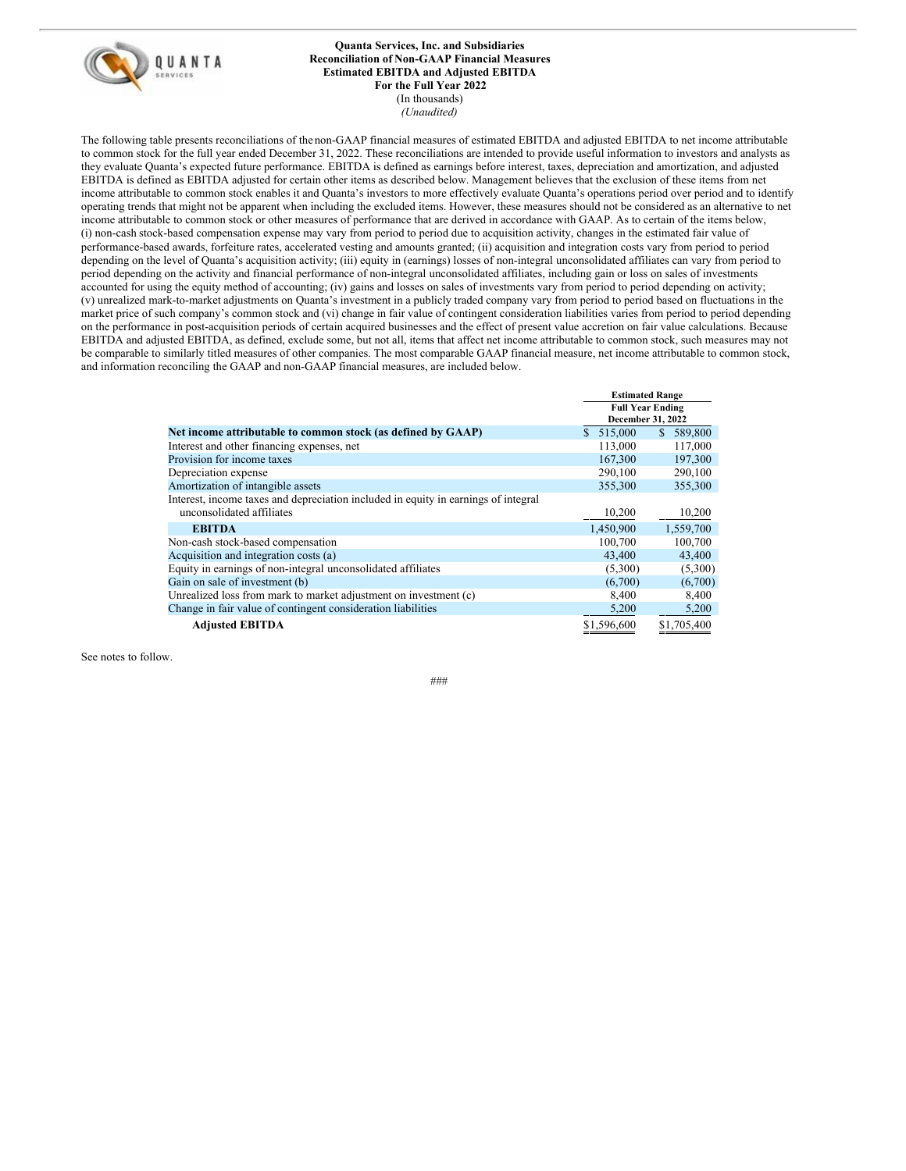

#### **Quanta Services, Inc. and Subsidiaries Reconciliation of Non-GAAP Financial Measures Estimated EBITDA and Adjusted EBITDA For the Full Year 2022** (In thousands) *(Unaudited)*

The following table presents reconciliations of the non-GAAP financial measures of estimated EBITDA and adjusted EBITDA to net income attributable to common stock for the full year ended December 31, 2022. These reconciliations are intended to provide useful information to investors and analysts as they evaluate Quanta's expected future performance. EBITDA is defined as earnings before interest, taxes, depreciation and amortization, and adjusted EBITDA is defined as EBITDA adjusted for certain other items as described below. Management believes that the exclusion of these items from net income attributable to common stock enables it and Quanta's investors to more effectively evaluate Quanta's operations period over period and to identify operating trends that might not be apparent when including the excluded items. However, these measures should not be considered as an alternative to net income attributable to common stock or other measures of performance that are derived in accordance with GAAP. As to certain of the items below, (i) non-cash stock-based compensation expense may vary from period to period due to acquisition activity, changes in the estimated fair value of performance-based awards, forfeiture rates, accelerated vesting and amounts granted; (ii) acquisition and integration costs vary from period to period depending on the level of Quanta's acquisition activity; (iii) equity in (earnings) losses of non-integral unconsolidated affiliates can vary from period to period depending on the activity and financial performance of non-integral unconsolidated affiliates, including gain or loss on sales of investments accounted for using the equity method of accounting; (iv) gains and losses on sales of investments vary from period to period depending on activity; (v) unrealized mark-to-market adjustments on Quanta's investment in a publicly traded company vary from period to period based on fluctuations in the market price of such company's common stock and (vi) change in fair value of contingent consideration liabilities varies from period to period depending on the performance in post-acquisition periods of certain acquired businesses and the effect of present value accretion on fair value calculations. Because EBITDA and adjusted EBITDA, as defined, exclude some, but not all, items that affect net income attributable to common stock, such measures may not be comparable to similarly titled measures of other companies. The most comparable GAAP financial measure, net income attributable to common stock, and information reconciling the GAAP and non-GAAP financial measures, are included below.

|                                                                                                                 | <b>Estimated Range</b>                       |               |
|-----------------------------------------------------------------------------------------------------------------|----------------------------------------------|---------------|
|                                                                                                                 | <b>Full Year Ending</b><br>December 31, 2022 |               |
| Net income attributable to common stock (as defined by GAAP)                                                    | \$ 515,000                                   | 589,800<br>S. |
| Interest and other financing expenses, net                                                                      | 113,000                                      | 117,000       |
| Provision for income taxes                                                                                      | 167,300                                      | 197,300       |
| Depreciation expense                                                                                            | 290,100                                      | 290,100       |
| Amortization of intangible assets                                                                               | 355,300                                      | 355,300       |
| Interest, income taxes and depreciation included in equity in earnings of integral<br>unconsolidated affiliates | 10,200                                       | 10,200        |
| <b>EBITDA</b>                                                                                                   | 1.450.900                                    | 1,559,700     |
| Non-cash stock-based compensation                                                                               | 100,700                                      | 100,700       |
| Acquisition and integration costs (a)                                                                           | 43,400                                       | 43,400        |
| Equity in earnings of non-integral unconsolidated affiliates                                                    | (5,300)                                      | (5,300)       |
| Gain on sale of investment (b)                                                                                  | (6,700)                                      | (6,700)       |
| Unrealized loss from mark to market adjustment on investment (c)                                                | 8,400                                        | 8,400         |
| Change in fair value of contingent consideration liabilities                                                    | 5,200                                        | 5,200         |
| <b>Adjusted EBITDA</b>                                                                                          | \$1,596,600                                  | \$1,705,400   |

See notes to follow.

 $H$